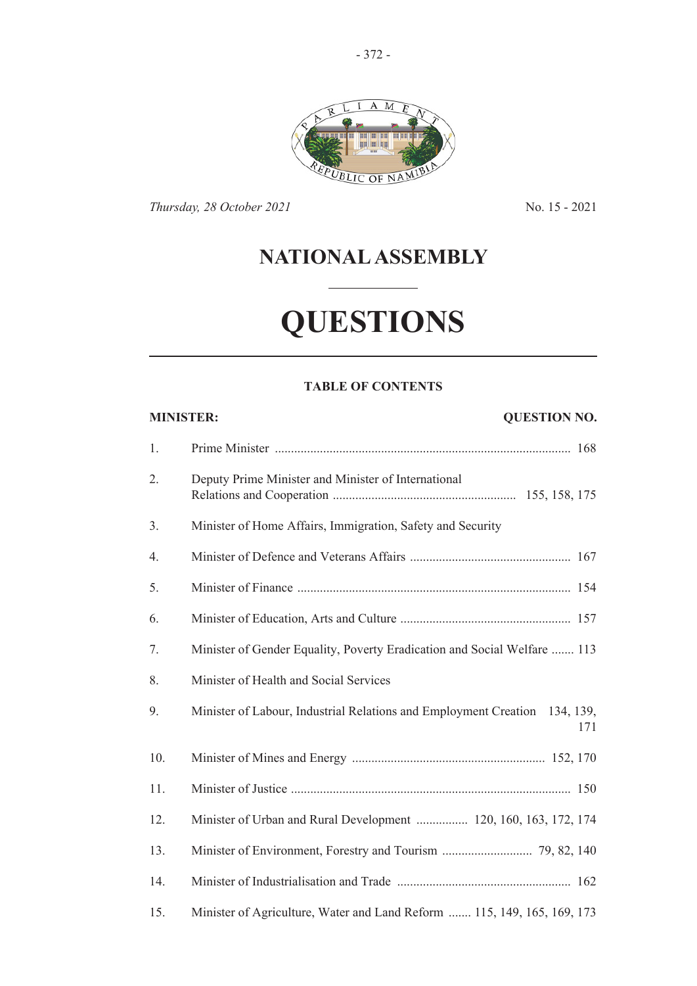

*Thursday, 28 October 2021* No. 15 - 2021

# **NATIONAL ASSEMBLY**

# **QUESTIONS**

# **TABLE OF CONTENTS**

| <b>QUESTION NO.</b><br><b>MINISTER:</b> |                                                                                   |
|-----------------------------------------|-----------------------------------------------------------------------------------|
| 1.                                      |                                                                                   |
| 2.                                      | Deputy Prime Minister and Minister of International                               |
| 3.                                      | Minister of Home Affairs, Immigration, Safety and Security                        |
| 4.                                      |                                                                                   |
| 5.                                      |                                                                                   |
| 6.                                      |                                                                                   |
| 7.                                      | Minister of Gender Equality, Poverty Eradication and Social Welfare  113          |
| 8.                                      | Minister of Health and Social Services                                            |
| 9.                                      | Minister of Labour, Industrial Relations and Employment Creation 134, 139,<br>171 |
| 10.                                     |                                                                                   |
| 11.                                     |                                                                                   |
| 12.                                     | Minister of Urban and Rural Development  120, 160, 163, 172, 174                  |
| 13.                                     |                                                                                   |
| 14.                                     |                                                                                   |
| 15.                                     | Minister of Agriculture, Water and Land Reform  115, 149, 165, 169, 173           |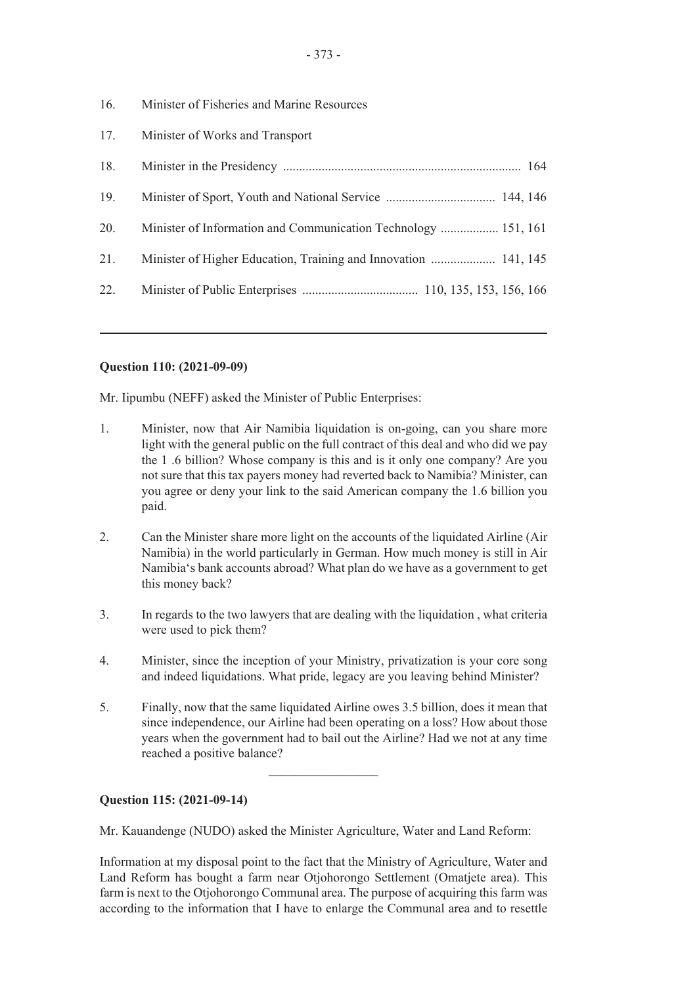- 16. Minister of Fisheries and Marine Resources 17. Minister of Works and Transport 18. Minister in the Presidency .......................................................................... 164 19. Minister of Sport, Youth and National Service .................................. 144, 146 20. Minister of Information and Communication Technology .................. 151, 161 21. Minister of Higher Education, Training and Innovation .................... 141, 145
- 22. Minister of Public Enterprises .................................... 110, 135, 153, 156, 166

# **Question 110: (2021-09-09)**

Mr. Iipumbu (NEFF) asked the Minister of Public Enterprises:

- 1. Minister, now that Air Namibia liquidation is on-going, can you share more light with the general public on the full contract of this deal and who did we pay the 1 .6 billion? Whose company is this and is it only one company? Are you not sure that this tax payers money had reverted back to Namibia? Minister, can you agree or deny your link to the said American company the 1.6 billion you paid.
- 2. Can the Minister share more light on the accounts of the liquidated Airline (Air Namibia) in the world particularly in German. How much money is still in Air Namibia's bank accounts abroad? What plan do we have as a government to get this money back?
- 3. In regards to the two lawyers that are dealing with the liquidation , what criteria were used to pick them?
- 4. Minister, since the inception of your Ministry, privatization is your core song and indeed liquidations. What pride, legacy are you leaving behind Minister?
- 5. Finally, now that the same liquidated Airline owes 3.5 billion, does it mean that since independence, our Airline had been operating on a loss? How about those years when the government had to bail out the Airline? Had we not at any time reached a positive balance?

 $\overline{\phantom{a}}$  , where  $\overline{\phantom{a}}$ 

# **Question 115: (2021-09-14)**

Mr. Kauandenge (NUDO) asked the Minister Agriculture, Water and Land Reform:

Information at my disposal point to the fact that the Ministry of Agriculture, Water and Land Reform has bought a farm near Otjohorongo Settlement (Omatjete area). This farm is next to the Otjohorongo Communal area. The purpose of acquiring this farm was according to the information that I have to enlarge the Communal area and to resettle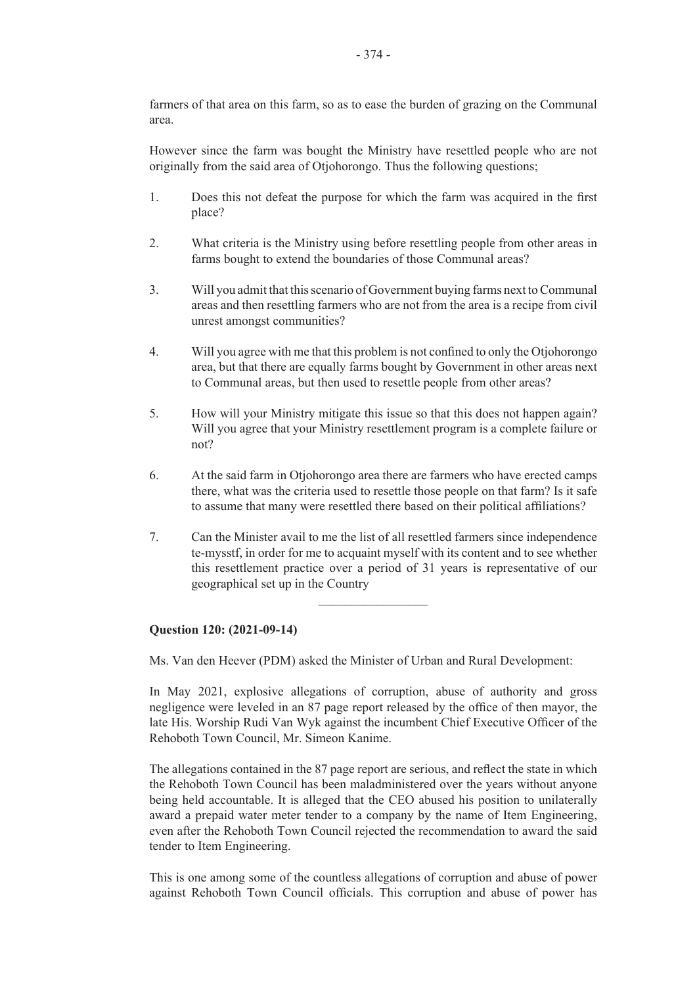farmers of that area on this farm, so as to ease the burden of grazing on the Communal area.

However since the farm was bought the Ministry have resettled people who are not originally from the said area of Otjohorongo. Thus the following questions;

- 1. Does this not defeat the purpose for which the farm was acquired in the first place?
- 2. What criteria is the Ministry using before resettling people from other areas in farms bought to extend the boundaries of those Communal areas?
- 3. Will you admit that this scenario of Government buying farms next to Communal areas and then resettling farmers who are not from the area is a recipe from civil unrest amongst communities?
- 4. Will you agree with me that this problem is not confined to only the Otjohorongo area, but that there are equally farms bought by Government in other areas next to Communal areas, but then used to resettle people from other areas?
- 5. How will your Ministry mitigate this issue so that this does not happen again? Will you agree that your Ministry resettlement program is a complete failure or not?
- 6. At the said farm in Otjohorongo area there are farmers who have erected camps there, what was the criteria used to resettle those people on that farm? Is it safe to assume that many were resettled there based on their political affiliations?
- 7. Can the Minister avail to me the list of all resettled farmers since independence te-mysstf, in order for me to acquaint myself with its content and to see whether this resettlement practice over a period of 31 years is representative of our geographical set up in the Country

 $\overline{\phantom{a}}$  , where  $\overline{\phantom{a}}$ 

#### **Question 120: (2021-09-14)**

Ms. Van den Heever (PDM) asked the Minister of Urban and Rural Development:

In May 2021, explosive allegations of corruption, abuse of authority and gross negligence were leveled in an 87 page report released by the office of then mayor, the late His. Worship Rudi Van Wyk against the incumbent Chief Executive Officer of the Rehoboth Town Council, Mr. Simeon Kanime.

The allegations contained in the 87 page report are serious, and reflect the state in which the Rehoboth Town Council has been maladministered over the years without anyone being held accountable. It is alleged that the CEO abused his position to unilaterally award a prepaid water meter tender to a company by the name of Item Engineering, even after the Rehoboth Town Council rejected the recommendation to award the said tender to Item Engineering.

This is one among some of the countless allegations of corruption and abuse of power against Rehoboth Town Council officials. This corruption and abuse of power has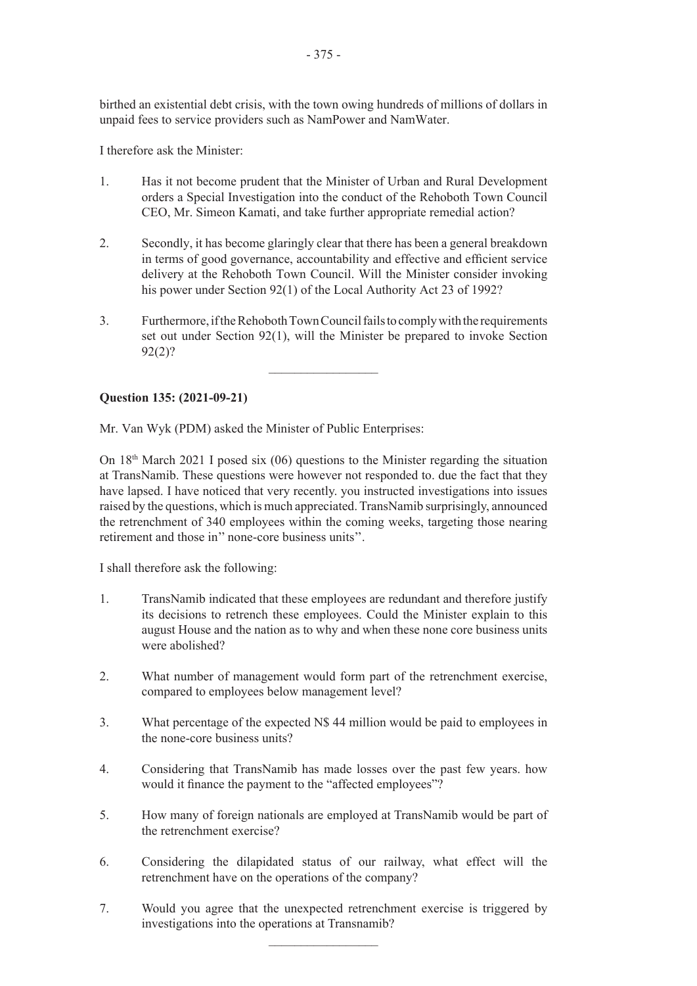birthed an existential debt crisis, with the town owing hundreds of millions of dollars in unpaid fees to service providers such as NamPower and NamWater.

I therefore ask the Minister:

- 1. Has it not become prudent that the Minister of Urban and Rural Development orders a Special Investigation into the conduct of the Rehoboth Town Council CEO, Mr. Simeon Kamati, and take further appropriate remedial action?
- 2. Secondly, it has become glaringly clear that there has been a general breakdown in terms of good governance, accountability and effective and efficient service delivery at the Rehoboth Town Council. Will the Minister consider invoking his power under Section 92(1) of the Local Authority Act 23 of 1992?
- 3. Furthermore, if the Rehoboth Town Council fails to comply with the requirements set out under Section 92(1), will the Minister be prepared to invoke Section 92(2)?

 $\frac{1}{2}$ 

# **Question 135: (2021-09-21)**

Mr. Van Wyk (PDM) asked the Minister of Public Enterprises:

On  $18<sup>th</sup>$  March 2021 I posed six (06) questions to the Minister regarding the situation at TransNamib. These questions were however not responded to. due the fact that they have lapsed. I have noticed that very recently. you instructed investigations into issues raised by the questions, which is much appreciated. TransNamib surprisingly, announced the retrenchment of 340 employees within the coming weeks, targeting those nearing retirement and those in'' none-core business units''.

I shall therefore ask the following:

- 1. TransNamib indicated that these employees are redundant and therefore justify its decisions to retrench these employees. Could the Minister explain to this august House and the nation as to why and when these none core business units were abolished?
- 2. What number of management would form part of the retrenchment exercise, compared to employees below management level?
- 3. What percentage of the expected N\$ 44 million would be paid to employees in the none-core business units?
- 4. Considering that TransNamib has made losses over the past few years. how would it finance the payment to the "affected employees"?
- 5. How many of foreign nationals are employed at TransNamib would be part of the retrenchment exercise?
- 6. Considering the dilapidated status of our railway, what effect will the retrenchment have on the operations of the company?
- 7. Would you agree that the unexpected retrenchment exercise is triggered by investigations into the operations at Transnamib?

 $\frac{1}{2}$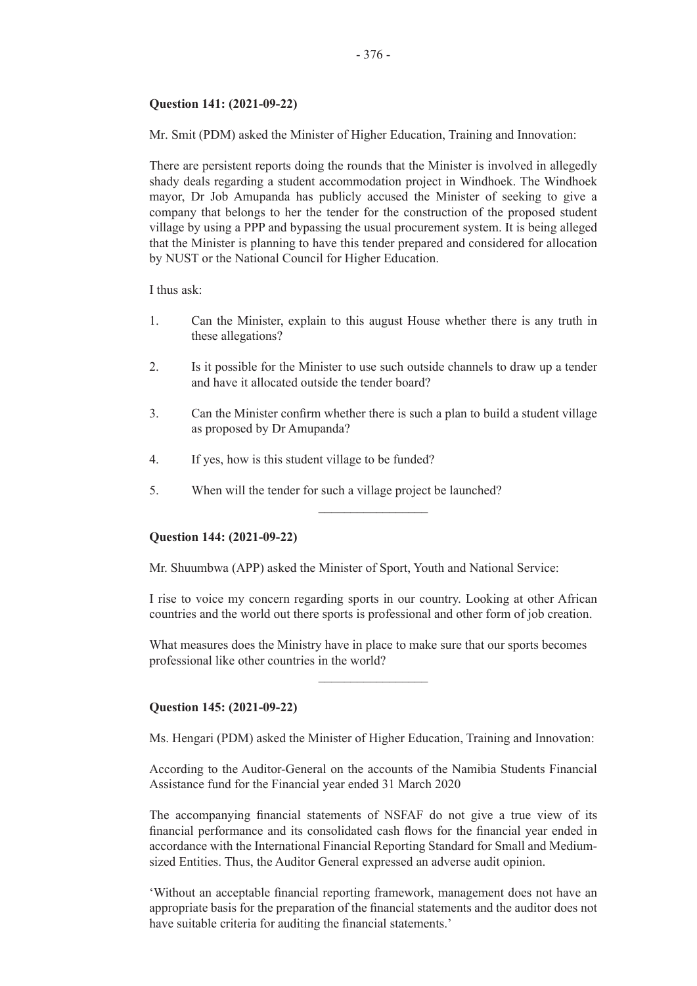#### **Question 141: (2021-09-22)**

Mr. Smit (PDM) asked the Minister of Higher Education, Training and Innovation:

There are persistent reports doing the rounds that the Minister is involved in allegedly shady deals regarding a student accommodation project in Windhoek. The Windhoek mayor, Dr Job Amupanda has publicly accused the Minister of seeking to give a company that belongs to her the tender for the construction of the proposed student village by using a PPP and bypassing the usual procurement system. It is being alleged that the Minister is planning to have this tender prepared and considered for allocation by NUST or the National Council for Higher Education.

I thus ask:

- 1. Can the Minister, explain to this august House whether there is any truth in these allegations?
- 2. Is it possible for the Minister to use such outside channels to draw up a tender and have it allocated outside the tender board?
- 3. Can the Minister confirm whether there is such a plan to build a student village as proposed by Dr Amupanda?

 $\overline{\phantom{a}}$  , where  $\overline{\phantom{a}}$ 

- 4. If yes, how is this student village to be funded?
- 5. When will the tender for such a village project be launched?

#### **Question 144: (2021-09-22)**

Mr. Shuumbwa (APP) asked the Minister of Sport, Youth and National Service:

I rise to voice my concern regarding sports in our country. Looking at other African countries and the world out there sports is professional and other form of job creation.

What measures does the Ministry have in place to make sure that our sports becomes professional like other countries in the world?

 $\frac{1}{2}$ 

#### **Question 145: (2021-09-22)**

Ms. Hengari (PDM) asked the Minister of Higher Education, Training and Innovation:

According to the Auditor-General on the accounts of the Namibia Students Financial Assistance fund for the Financial year ended 31 March 2020

The accompanying financial statements of NSFAF do not give a true view of its financial performance and its consolidated cash flows for the financial year ended in accordance with the International Financial Reporting Standard for Small and Mediumsized Entities. Thus, the Auditor General expressed an adverse audit opinion.

'Without an acceptable financial reporting framework, management does not have an appropriate basis for the preparation of the financial statements and the auditor does not have suitable criteria for auditing the financial statements.'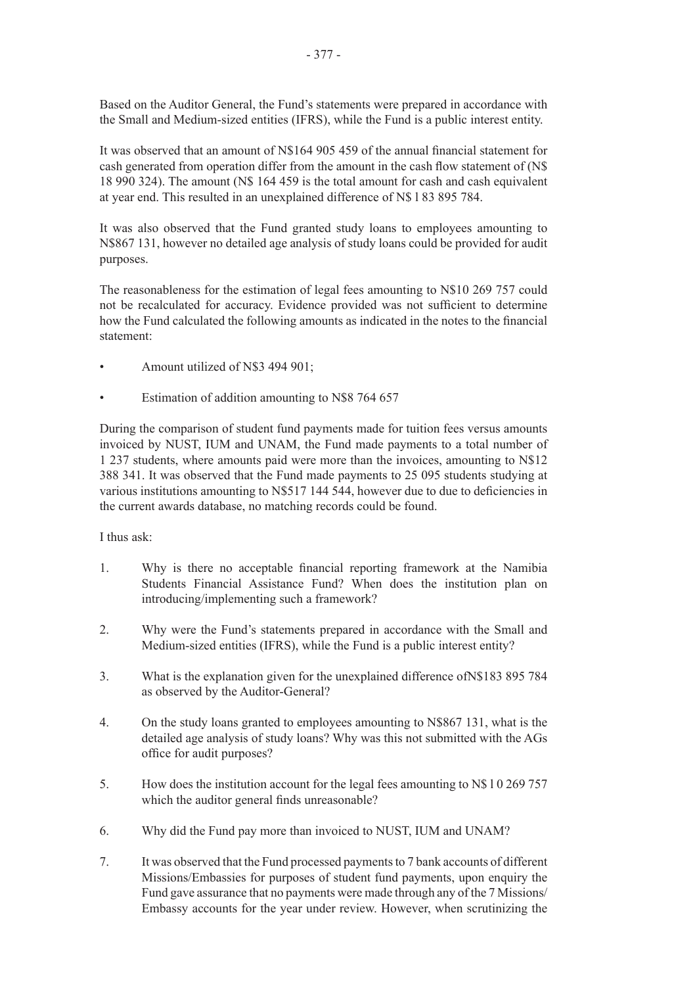Based on the Auditor General, the Fund's statements were prepared in accordance with the Small and Medium-sized entities (IFRS), while the Fund is a public interest entity.

It was observed that an amount of N\$164 905 459 of the annual financial statement for cash generated from operation differ from the amount in the cash flow statement of (N\$ 18 990 324). The amount (N\$ 164 459 is the total amount for cash and cash equivalent at year end. This resulted in an unexplained difference of N\$ l 83 895 784.

It was also observed that the Fund granted study loans to employees amounting to N\$867 131, however no detailed age analysis of study loans could be provided for audit purposes.

The reasonableness for the estimation of legal fees amounting to N\$10 269 757 could not be recalculated for accuracy. Evidence provided was not sufficient to determine how the Fund calculated the following amounts as indicated in the notes to the financial statement:

- Amount utilized of N\$3 494 901;
- Estimation of addition amounting to N\$8 764 657

During the comparison of student fund payments made for tuition fees versus amounts invoiced by NUST, IUM and UNAM, the Fund made payments to a total number of 1 237 students, where amounts paid were more than the invoices, amounting to N\$12 388 341. It was observed that the Fund made payments to 25 095 students studying at various institutions amounting to N\$517 144 544, however due to due to deficiencies in the current awards database, no matching records could be found.

#### I thus ask:

- 1. Why is there no acceptable financial reporting framework at the Namibia Students Financial Assistance Fund? When does the institution plan on introducing/implementing such a framework?
- 2. Why were the Fund's statements prepared in accordance with the Small and Medium-sized entities (IFRS), while the Fund is a public interest entity?
- 3. What is the explanation given for the unexplained difference ofN\$183 895 784 as observed by the Auditor-General?
- 4. On the study loans granted to employees amounting to N\$867 131, what is the detailed age analysis of study loans? Why was this not submitted with the AGs office for audit purposes?
- 5. How does the institution account for the legal fees amounting to N\$ l 0 269 757 which the auditor general finds unreasonable?
- 6. Why did the Fund pay more than invoiced to NUST, IUM and UNAM?
- 7. It was observed that the Fund processed payments to 7 bank accounts of different Missions/Embassies for purposes of student fund payments, upon enquiry the Fund gave assurance that no payments were made through any of the 7 Missions/ Embassy accounts for the year under review. However, when scrutinizing the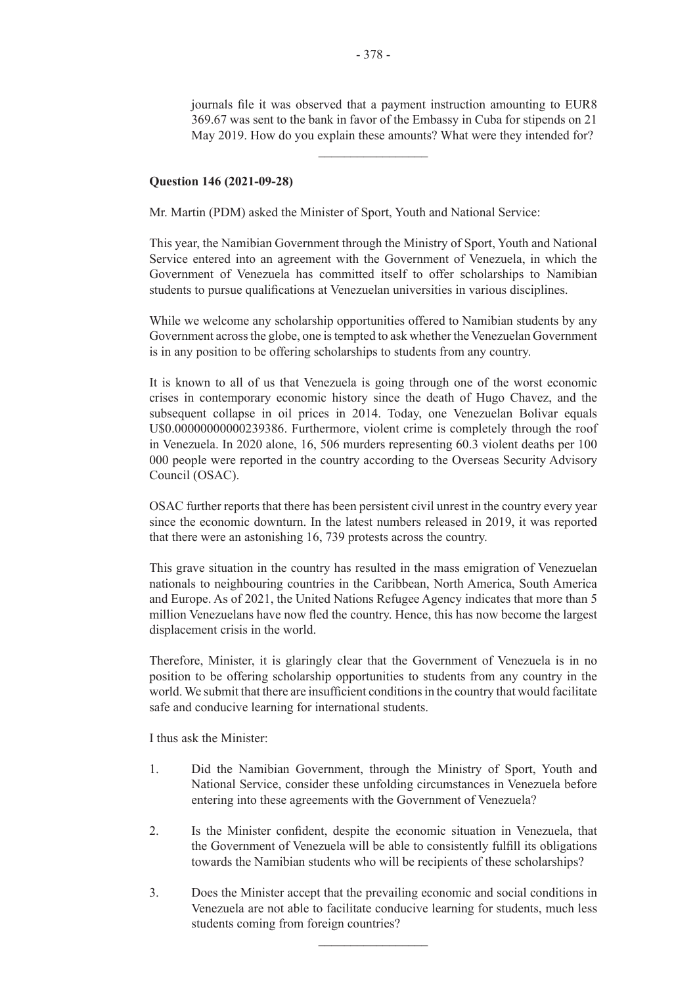journals file it was observed that a payment instruction amounting to EUR8 369.67 was sent to the bank in favor of the Embassy in Cuba for stipends on 21 May 2019. How do you explain these amounts? What were they intended for?

#### **Question 146 (2021-09-28)**

Mr. Martin (PDM) asked the Minister of Sport, Youth and National Service:

This year, the Namibian Government through the Ministry of Sport, Youth and National Service entered into an agreement with the Government of Venezuela, in which the Government of Venezuela has committed itself to offer scholarships to Namibian students to pursue qualifications at Venezuelan universities in various disciplines.

While we welcome any scholarship opportunities offered to Namibian students by any Government across the globe, one is tempted to ask whether the Venezuelan Government is in any position to be offering scholarships to students from any country.

It is known to all of us that Venezuela is going through one of the worst economic crises in contemporary economic history since the death of Hugo Chavez, and the subsequent collapse in oil prices in 2014. Today, one Venezuelan Bolivar equals U\$0.00000000000239386. Furthermore, violent crime is completely through the roof in Venezuela. In 2020 alone, 16, 506 murders representing 60.3 violent deaths per 100 000 people were reported in the country according to the Overseas Security Advisory Council (OSAC).

OSAC further reports that there has been persistent civil unrest in the country every year since the economic downturn. In the latest numbers released in 2019, it was reported that there were an astonishing 16, 739 protests across the country.

This grave situation in the country has resulted in the mass emigration of Venezuelan nationals to neighbouring countries in the Caribbean, North America, South America and Europe. As of 2021, the United Nations Refugee Agency indicates that more than 5 million Venezuelans have now fled the country. Hence, this has now become the largest displacement crisis in the world.

Therefore, Minister, it is glaringly clear that the Government of Venezuela is in no position to be offering scholarship opportunities to students from any country in the world.We submit that there are insufficient conditionsin the country that would facilitate safe and conducive learning for international students.

I thus ask the Minister:

- 1. Did the Namibian Government, through the Ministry of Sport, Youth and National Service, consider these unfolding circumstances in Venezuela before entering into these agreements with the Government of Venezuela?
- 2. Is the Minister confident, despite the economic situation in Venezuela, that the Government of Venezuela will be able to consistently fulfill its obligations towards the Namibian students who will be recipients of these scholarships?
- 3. Does the Minister accept that the prevailing economic and social conditions in Venezuela are not able to facilitate conducive learning for students, much less students coming from foreign countries?

 $\frac{1}{2}$ 

 $\frac{1}{2}$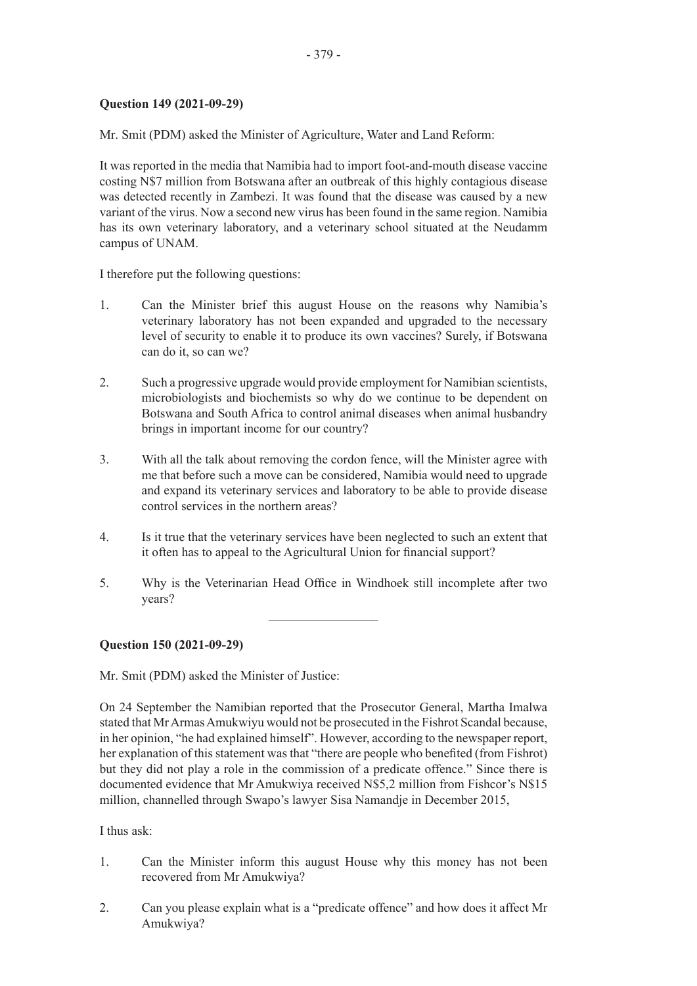# **Question 149 (2021-09-29)**

Mr. Smit (PDM) asked the Minister of Agriculture, Water and Land Reform:

It was reported in the media that Namibia had to import foot-and-mouth disease vaccine costing N\$7 million from Botswana after an outbreak of this highly contagious disease was detected recently in Zambezi. It was found that the disease was caused by a new variant of the virus. Now a second new virus has been found in the same region. Namibia has its own veterinary laboratory, and a veterinary school situated at the Neudamm campus of UNAM.

I therefore put the following questions:

- 1. Can the Minister brief this august House on the reasons why Namibia's veterinary laboratory has not been expanded and upgraded to the necessary level of security to enable it to produce its own vaccines? Surely, if Botswana can do it, so can we?
- 2. Such a progressive upgrade would provide employment for Namibian scientists, microbiologists and biochemists so why do we continue to be dependent on Botswana and South Africa to control animal diseases when animal husbandry brings in important income for our country?
- 3. With all the talk about removing the cordon fence, will the Minister agree with me that before such a move can be considered, Namibia would need to upgrade and expand its veterinary services and laboratory to be able to provide disease control services in the northern areas?
- 4. Is it true that the veterinary services have been neglected to such an extent that it often has to appeal to the Agricultural Union for financial support?
- 5. Why is the Veterinarian Head Office in Windhoek still incomplete after two years?

 $\frac{1}{2}$ 

#### **Question 150 (2021-09-29)**

Mr. Smit (PDM) asked the Minister of Justice:

On 24 September the Namibian reported that the Prosecutor General, Martha Imalwa stated that Mr Armas Amukwiyu would not be prosecuted in the Fishrot Scandal because, in her opinion, "he had explained himself". However, according to the newspaper report, her explanation of this statement was that "there are people who benefited (from Fishrot) but they did not play a role in the commission of a predicate offence." Since there is documented evidence that Mr Amukwiya received N\$5,2 million from Fishcor's N\$15 million, channelled through Swapo's lawyer Sisa Namandje in December 2015,

I thus ask:

- 1. Can the Minister inform this august House why this money has not been recovered from Mr Amukwiya?
- 2. Can you please explain what is a "predicate offence" and how does it affect Mr Amukwiya?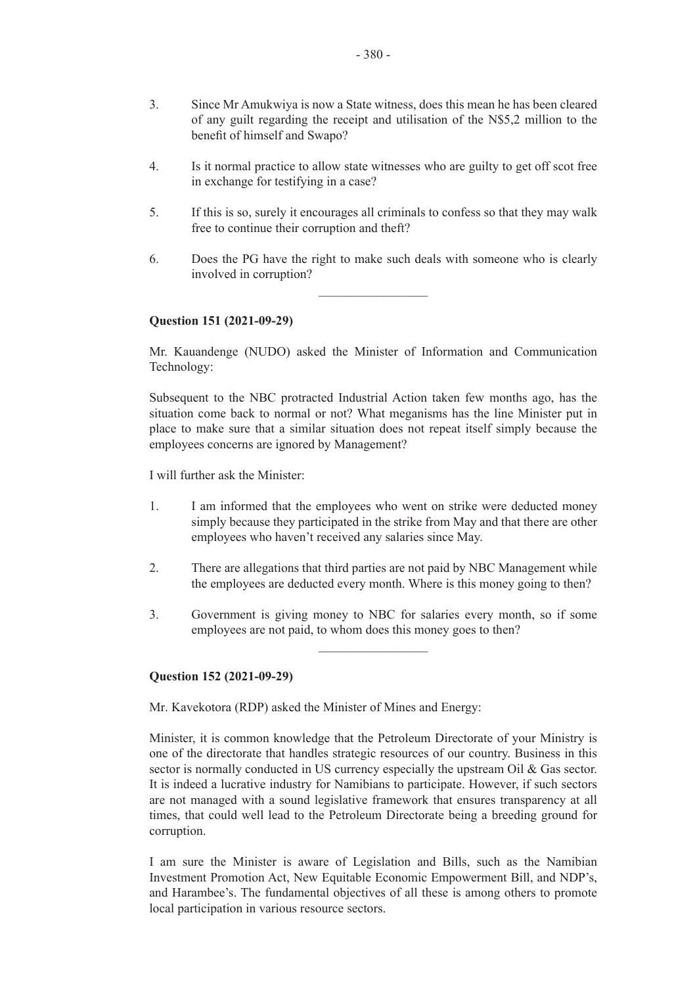- 3. Since Mr Amukwiya is now a State witness, does this mean he has been cleared of any guilt regarding the receipt and utilisation of the N\$5,2 million to the benefit of himself and Swapo?
- 4. Is it normal practice to allow state witnesses who are guilty to get off scot free in exchange for testifying in a case?
- 5. If this is so, surely it encourages all criminals to confess so that they may walk free to continue their corruption and theft?
- 6. Does the PG have the right to make such deals with someone who is clearly involved in corruption?

 $\frac{1}{2}$ 

#### **Question 151 (2021-09-29)**

Mr. Kauandenge (NUDO) asked the Minister of Information and Communication Technology:

Subsequent to the NBC protracted Industrial Action taken few months ago, has the situation come back to normal or not? What meganisms has the line Minister put in place to make sure that a similar situation does not repeat itself simply because the employees concerns are ignored by Management?

I will further ask the Minister:

- 1. I am informed that the employees who went on strike were deducted money simply because they participated in the strike from May and that there are other employees who haven't received any salaries since May.
- 2. There are allegations that third parties are not paid by NBC Management while the employees are deducted every month. Where is this money going to then?
- 3. Government is giving money to NBC for salaries every month, so if some employees are not paid, to whom does this money goes to then?

 $\frac{1}{2}$ 

#### **Question 152 (2021-09-29)**

Mr. Kavekotora (RDP) asked the Minister of Mines and Energy:

Minister, it is common knowledge that the Petroleum Directorate of your Ministry is one of the directorate that handles strategic resources of our country. Business in this sector is normally conducted in US currency especially the upstream Oil & Gas sector. It is indeed a lucrative industry for Namibians to participate. However, if such sectors are not managed with a sound legislative framework that ensures transparency at all times, that could well lead to the Petroleum Directorate being a breeding ground for corruption.

I am sure the Minister is aware of Legislation and Bills, such as the Namibian Investment Promotion Act, New Equitable Economic Empowerment Bill, and NDP's, and Harambee's. The fundamental objectives of all these is among others to promote local participation in various resource sectors.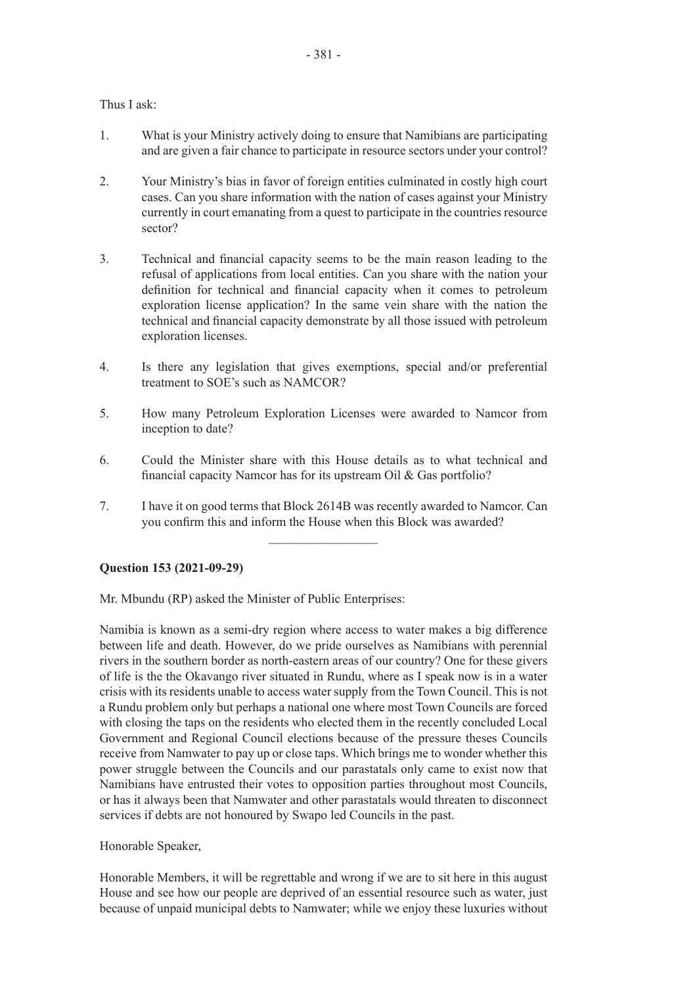Thus I ask:

- 1. What is your Ministry actively doing to ensure that Namibians are participating and are given a fair chance to participate in resource sectors under your control?
- 2. Your Ministry's bias in favor of foreign entities culminated in costly high court cases. Can you share information with the nation of cases against your Ministry currently in court emanating from a quest to participate in the countries resource sector?
- 3. Technical and financial capacity seems to be the main reason leading to the refusal of applications from local entities. Can you share with the nation your definition for technical and financial capacity when it comes to petroleum exploration license application? In the same vein share with the nation the technical and financial capacity demonstrate by all those issued with petroleum exploration licenses.
- 4. Is there any legislation that gives exemptions, special and/or preferential treatment to SOE's such as NAMCOR?
- 5. How many Petroleum Exploration Licenses were awarded to Namcor from inception to date?
- 6. Could the Minister share with this House details as to what technical and financial capacity Namcor has for its upstream Oil & Gas portfolio?
- 7. I have it on good terms that Block 2614B was recently awarded to Namcor. Can you confirm this and inform the House when this Block was awarded?

 $\frac{1}{2}$  ,  $\frac{1}{2}$  ,  $\frac{1}{2}$  ,  $\frac{1}{2}$  ,  $\frac{1}{2}$  ,  $\frac{1}{2}$  ,  $\frac{1}{2}$  ,  $\frac{1}{2}$  ,  $\frac{1}{2}$  ,  $\frac{1}{2}$ 

**Question 153 (2021-09-29)**

Mr. Mbundu (RP) asked the Minister of Public Enterprises:

Namibia is known as a semi-dry region where access to water makes a big difference between life and death. However, do we pride ourselves as Namibians with perennial rivers in the southern border as north-eastern areas of our country? One for these givers of life is the the Okavango river situated in Rundu, where as I speak now is in a water crisis with its residents unable to access water supply from the Town Council. This is not a Rundu problem only but perhaps a national one where most Town Councils are forced with closing the taps on the residents who elected them in the recently concluded Local Government and Regional Council elections because of the pressure theses Councils receive from Namwater to pay up or close taps. Which brings me to wonder whether this power struggle between the Councils and our parastatals only came to exist now that Namibians have entrusted their votes to opposition parties throughout most Councils, or has it always been that Namwater and other parastatals would threaten to disconnect services if debts are not honoured by Swapo led Councils in the past.

Honorable Speaker,

Honorable Members, it will be regrettable and wrong if we are to sit here in this august House and see how our people are deprived of an essential resource such as water, just because of unpaid municipal debts to Namwater; while we enjoy these luxuries without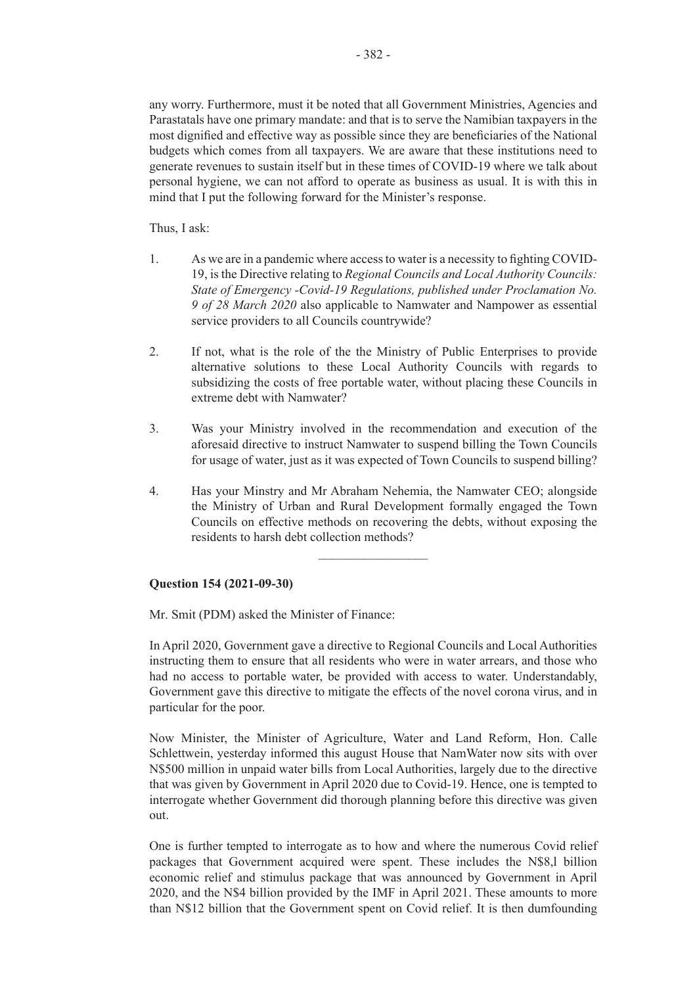any worry. Furthermore, must it be noted that all Government Ministries, Agencies and Parastatals have one primary mandate: and that is to serve the Namibian taxpayers in the most dignified and effective way as possible since they are beneficiaries of the National budgets which comes from all taxpayers. We are aware that these institutions need to generate revenues to sustain itself but in these times of COVID-19 where we talk about personal hygiene, we can not afford to operate as business as usual. It is with this in mind that I put the following forward for the Minister's response.

Thus, I ask:

- 1. As we are in a pandemic where access to water is a necessity to fighting COVID-19, is the Directive relating to *Regional Councils and Local Authority Councils: State of Emergency -Covid-19 Regulations, published under Proclamation No. 9 of 28 March 2020* also applicable to Namwater and Nampower as essential service providers to all Councils countrywide?
- 2. If not, what is the role of the the Ministry of Public Enterprises to provide alternative solutions to these Local Authority Councils with regards to subsidizing the costs of free portable water, without placing these Councils in extreme debt with Namwater?
- 3. Was your Ministry involved in the recommendation and execution of the aforesaid directive to instruct Namwater to suspend billing the Town Councils for usage of water, just as it was expected of Town Councils to suspend billing?
- 4. Has your Minstry and Mr Abraham Nehemia, the Namwater CEO; alongside the Ministry of Urban and Rural Development formally engaged the Town Councils on effective methods on recovering the debts, without exposing the residents to harsh debt collection methods?

 $\overline{\phantom{a}}$  , where  $\overline{\phantom{a}}$ 

#### **Question 154 (2021-09-30)**

Mr. Smit (PDM) asked the Minister of Finance:

In April 2020, Government gave a directive to Regional Councils and Local Authorities instructing them to ensure that all residents who were in water arrears, and those who had no access to portable water, be provided with access to water. Understandably, Government gave this directive to mitigate the effects of the novel corona virus, and in particular for the poor.

Now Minister, the Minister of Agriculture, Water and Land Reform, Hon. Calle Schlettwein, yesterday informed this august House that NamWater now sits with over N\$500 million in unpaid water bills from Local Authorities, largely due to the directive that was given by Government in April 2020 due to Covid-19. Hence, one is tempted to interrogate whether Government did thorough planning before this directive was given out.

One is further tempted to interrogate as to how and where the numerous Covid relief packages that Government acquired were spent. These includes the N\$8,l billion economic relief and stimulus package that was announced by Government in April 2020, and the N\$4 billion provided by the IMF in April 2021. These amounts to more than N\$12 billion that the Government spent on Covid relief. It is then dumfounding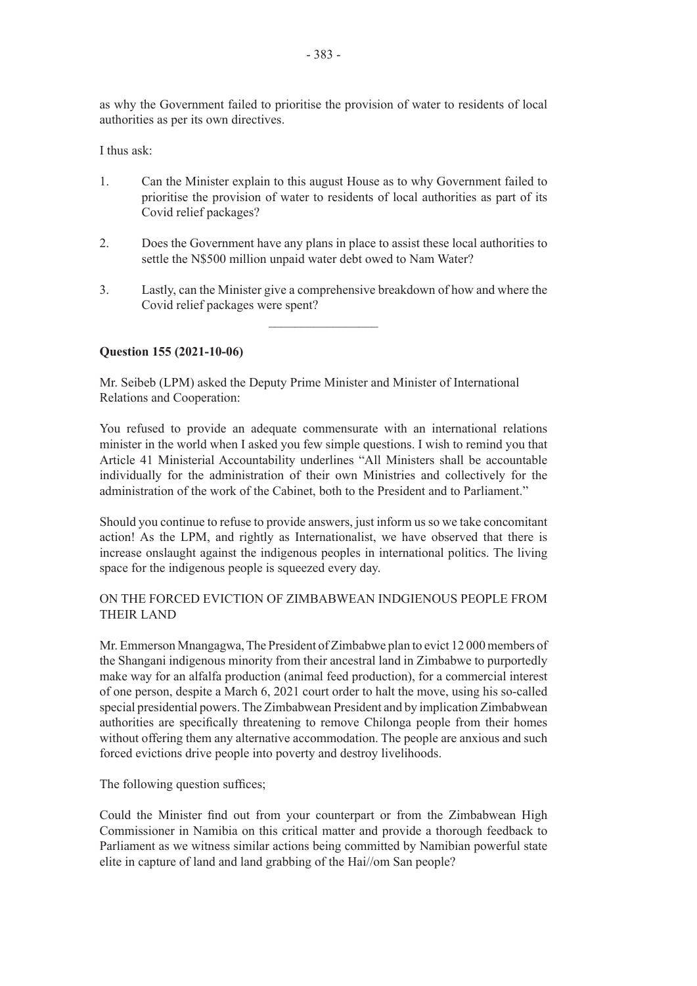as why the Government failed to prioritise the provision of water to residents of local authorities as per its own directives.

I thus ask:

- 1. Can the Minister explain to this august House as to why Government failed to prioritise the provision of water to residents of local authorities as part of its Covid relief packages?
- 2. Does the Government have any plans in place to assist these local authorities to settle the N\$500 million unpaid water debt owed to Nam Water?
- 3. Lastly, can the Minister give a comprehensive breakdown of how and where the Covid relief packages were spent?

 $\frac{1}{2}$  ,  $\frac{1}{2}$  ,  $\frac{1}{2}$  ,  $\frac{1}{2}$  ,  $\frac{1}{2}$  ,  $\frac{1}{2}$  ,  $\frac{1}{2}$  ,  $\frac{1}{2}$  ,  $\frac{1}{2}$  ,  $\frac{1}{2}$ 

# **Question 155 (2021-10-06)**

Mr. Seibeb (LPM) asked the Deputy Prime Minister and Minister of International Relations and Cooperation:

You refused to provide an adequate commensurate with an international relations minister in the world when I asked you few simple questions. I wish to remind you that Article 41 Ministerial Accountability underlines "All Ministers shall be accountable individually for the administration of their own Ministries and collectively for the administration of the work of the Cabinet, both to the President and to Parliament."

Should you continue to refuse to provide answers, just inform us so we take concomitant action! As the LPM, and rightly as Internationalist, we have observed that there is increase onslaught against the indigenous peoples in international politics. The living space for the indigenous people is squeezed every day.

# ON THE FORCED EVICTION OF ZIMBABWEAN INDGIENOUS PEOPLE FROM THEIR LAND

Mr. Emmerson Mnangagwa, The President of Zimbabwe plan to evict 12 000 members of the Shangani indigenous minority from their ancestral land in Zimbabwe to purportedly make way for an alfalfa production (animal feed production), for a commercial interest of one person, despite a March 6, 2021 court order to halt the move, using his so-called special presidential powers. The Zimbabwean President and by implication Zimbabwean authorities are specifically threatening to remove Chilonga people from their homes without offering them any alternative accommodation. The people are anxious and such forced evictions drive people into poverty and destroy livelihoods.

The following question suffices;

Could the Minister find out from your counterpart or from the Zimbabwean High Commissioner in Namibia on this critical matter and provide a thorough feedback to Parliament as we witness similar actions being committed by Namibian powerful state elite in capture of land and land grabbing of the Hai//om San people?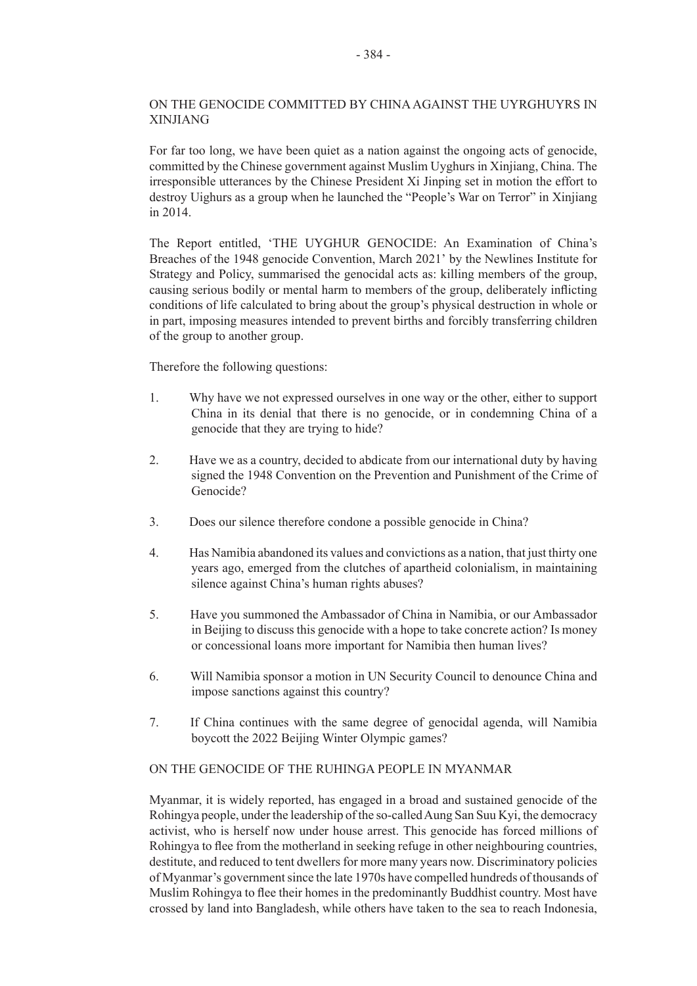# ON THE GENOCIDE COMMITTED BY CHINA AGAINST THE UYRGHUYRS IN XINJIANG

For far too long, we have been quiet as a nation against the ongoing acts of genocide. committed by the Chinese government against Muslim Uyghurs in Xinjiang, China. The irresponsible utterances by the Chinese President Xi Jinping set in motion the effort to destroy Uighurs as a group when he launched the "People's War on Terror" in Xinjiang in 2014.

The Report entitled, 'THE UYGHUR GENOCIDE: An Examination of China's Breaches of the 1948 genocide Convention, March 2021' by the Newlines Institute for Strategy and Policy, summarised the genocidal acts as: killing members of the group, causing serious bodily or mental harm to members of the group, deliberately inflicting conditions of life calculated to bring about the group's physical destruction in whole or in part, imposing measures intended to prevent births and forcibly transferring children of the group to another group.

Therefore the following questions:

- 1. Why have we not expressed ourselves in one way or the other, either to support China in its denial that there is no genocide, or in condemning China of a genocide that they are trying to hide?
- 2. Have we as a country, decided to abdicate from our international duty by having signed the 1948 Convention on the Prevention and Punishment of the Crime of Genocide?
- 3. Does our silence therefore condone a possible genocide in China?
- 4. Has Namibia abandoned its values and convictions as a nation, that just thirty one years ago, emerged from the clutches of apartheid colonialism, in maintaining silence against China's human rights abuses?
- 5. Have you summoned the Ambassador of China in Namibia, or our Ambassador in Beijing to discuss this genocide with a hope to take concrete action? Is money or concessional loans more important for Namibia then human lives?
- 6. Will Namibia sponsor a motion in UN Security Council to denounce China and impose sanctions against this country?
- 7. If China continues with the same degree of genocidal agenda, will Namibia boycott the 2022 Beijing Winter Olympic games?

#### ON THE GENOCIDE OF THE RUHINGA PEOPLE IN MYANMAR

Myanmar, it is widely reported, has engaged in a broad and sustained genocide of the Rohingya people, under the leadership of the so-called Aung San Suu Kyi, the democracy activist, who is herself now under house arrest. This genocide has forced millions of Rohingya to flee from the motherland in seeking refuge in other neighbouring countries, destitute, and reduced to tent dwellers for more many years now. Discriminatory policies of Myanmar's government since the late 1970s have compelled hundreds of thousands of Muslim Rohingya to flee their homes in the predominantly Buddhist country. Most have crossed by land into Bangladesh, while others have taken to the sea to reach Indonesia,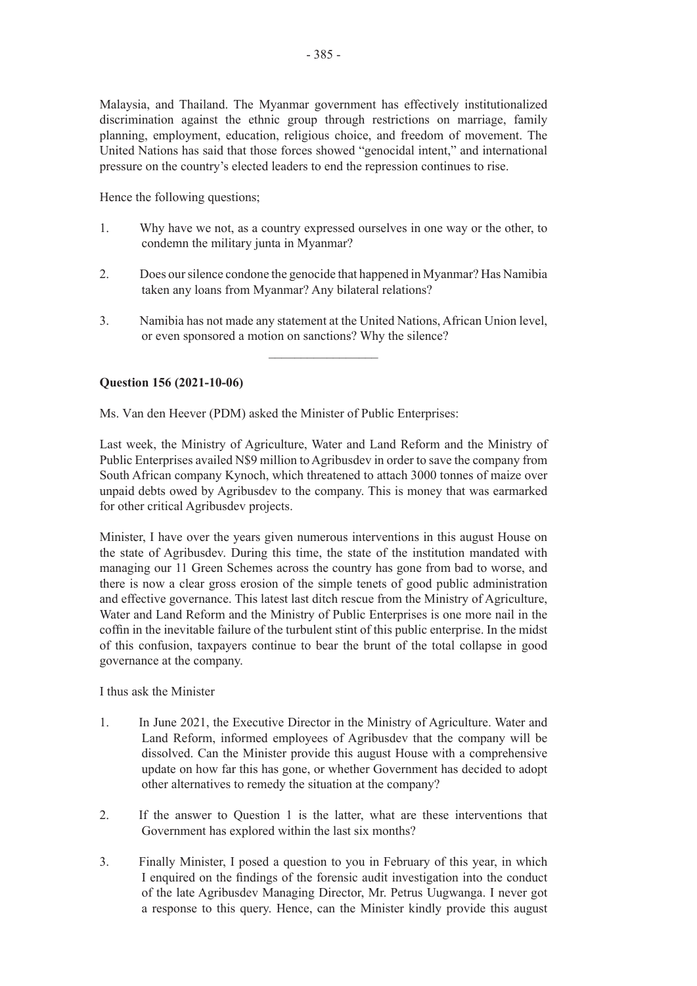Malaysia, and Thailand. The Myanmar government has effectively institutionalized discrimination against the ethnic group through restrictions on marriage, family planning, employment, education, religious choice, and freedom of movement. The United Nations has said that those forces showed "genocidal intent," and international pressure on the country's elected leaders to end the repression continues to rise.

Hence the following questions;

- 1. Why have we not, as a country expressed ourselves in one way or the other, to condemn the military junta in Myanmar?
- 2. Does our silence condone the genocide that happened in Myanmar? Has Namibia taken any loans from Myanmar? Any bilateral relations?
- 3. Namibia has not made any statement at the United Nations, African Union level, or even sponsored a motion on sanctions? Why the silence?

 $\frac{1}{2}$ 

# **Question 156 (2021-10-06)**

Ms. Van den Heever (PDM) asked the Minister of Public Enterprises:

Last week, the Ministry of Agriculture, Water and Land Reform and the Ministry of Public Enterprises availed N\$9 million to Agribusdev in order to save the company from South African company Kynoch, which threatened to attach 3000 tonnes of maize over unpaid debts owed by Agribusdev to the company. This is money that was earmarked for other critical Agribusdev projects.

Minister, I have over the years given numerous interventions in this august House on the state of Agribusdev. During this time, the state of the institution mandated with managing our 11 Green Schemes across the country has gone from bad to worse, and there is now a clear gross erosion of the simple tenets of good public administration and effective governance. This latest last ditch rescue from the Ministry of Agriculture, Water and Land Reform and the Ministry of Public Enterprises is one more nail in the coffin in the inevitable failure of the turbulent stint of this public enterprise. In the midst of this confusion, taxpayers continue to bear the brunt of the total collapse in good governance at the company.

I thus ask the Minister

- 1. In June 2021, the Executive Director in the Ministry of Agriculture. Water and Land Reform, informed employees of Agribusdev that the company will be dissolved. Can the Minister provide this august House with a comprehensive update on how far this has gone, or whether Government has decided to adopt other alternatives to remedy the situation at the company?
- 2. If the answer to Question 1 is the latter, what are these interventions that Government has explored within the last six months?
- 3. Finally Minister, I posed a question to you in February of this year, in which I enquired on the findings of the forensic audit investigation into the conduct of the late Agribusdev Managing Director, Mr. Petrus Uugwanga. I never got a response to this query. Hence, can the Minister kindly provide this august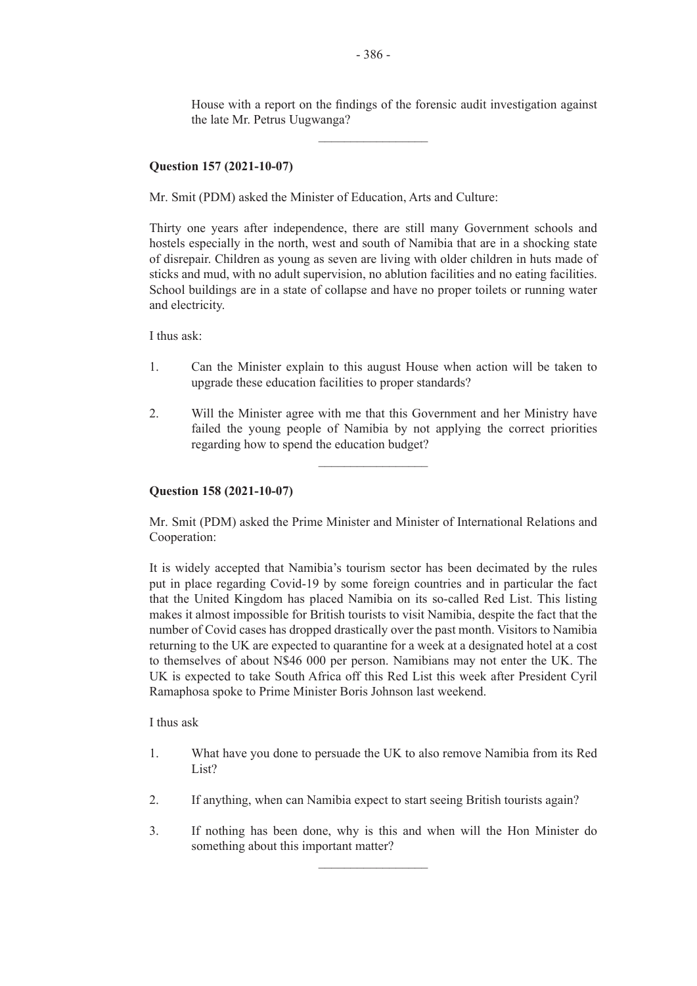House with a report on the findings of the forensic audit investigation against the late Mr. Petrus Uugwanga?

# **Question 157 (2021-10-07)**

Mr. Smit (PDM) asked the Minister of Education, Arts and Culture:

Thirty one years after independence, there are still many Government schools and hostels especially in the north, west and south of Namibia that are in a shocking state of disrepair. Children as young as seven are living with older children in huts made of sticks and mud, with no adult supervision, no ablution facilities and no eating facilities. School buildings are in a state of collapse and have no proper toilets or running water and electricity.

I thus ask:

- 1. Can the Minister explain to this august House when action will be taken to upgrade these education facilities to proper standards?
- 2. Will the Minister agree with me that this Government and her Ministry have failed the young people of Namibia by not applying the correct priorities regarding how to spend the education budget?

 $\overline{\phantom{a}}$  , where  $\overline{\phantom{a}}$ 

#### **Question 158 (2021-10-07)**

Mr. Smit (PDM) asked the Prime Minister and Minister of International Relations and Cooperation:

It is widely accepted that Namibia's tourism sector has been decimated by the rules put in place regarding Covid-19 by some foreign countries and in particular the fact that the United Kingdom has placed Namibia on its so-called Red List. This listing makes it almost impossible for British tourists to visit Namibia, despite the fact that the number of Covid cases has dropped drastically over the past month. Visitors to Namibia returning to the UK are expected to quarantine for a week at a designated hotel at a cost to themselves of about N\$46 000 per person. Namibians may not enter the UK. The UK is expected to take South Africa off this Red List this week after President Cyril Ramaphosa spoke to Prime Minister Boris Johnson last weekend.

I thus ask

- 1. What have you done to persuade the UK to also remove Namibia from its Red List?
- 2. If anything, when can Namibia expect to start seeing British tourists again?
- 3. If nothing has been done, why is this and when will the Hon Minister do something about this important matter?

 $\frac{1}{2}$ 

 $\frac{1}{2}$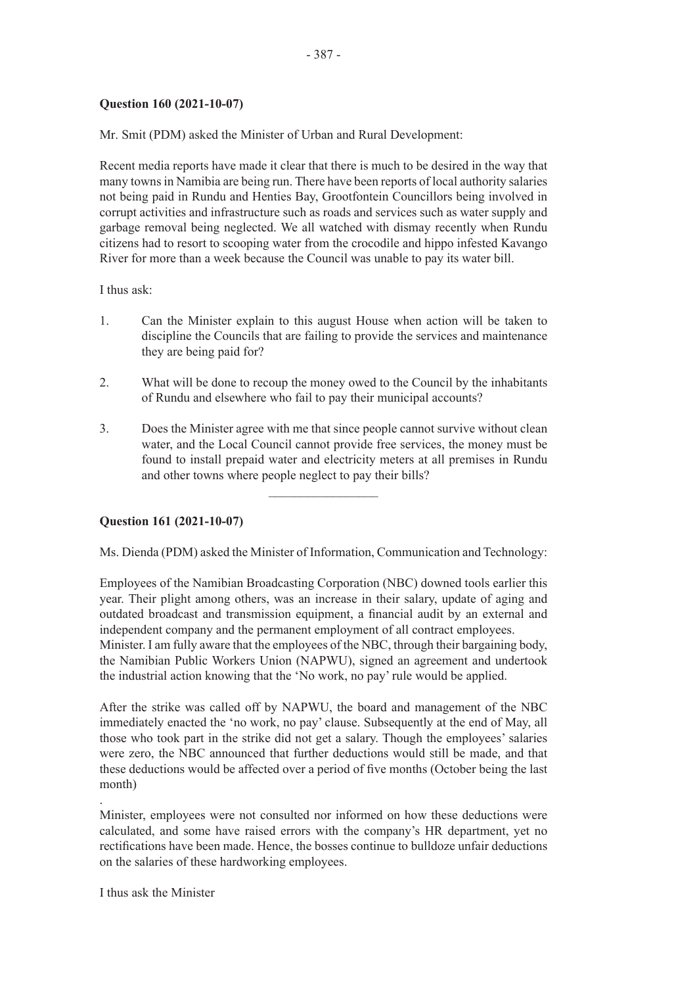# **Question 160 (2021-10-07)**

Mr. Smit (PDM) asked the Minister of Urban and Rural Development:

Recent media reports have made it clear that there is much to be desired in the way that many towns in Namibia are being run. There have been reports of local authority salaries not being paid in Rundu and Henties Bay, Grootfontein Councillors being involved in corrupt activities and infrastructure such as roads and services such as water supply and garbage removal being neglected. We all watched with dismay recently when Rundu citizens had to resort to scooping water from the crocodile and hippo infested Kavango River for more than a week because the Council was unable to pay its water bill.

I thus ask:

- 1. Can the Minister explain to this august House when action will be taken to discipline the Councils that are failing to provide the services and maintenance they are being paid for?
- 2. What will be done to recoup the money owed to the Council by the inhabitants of Rundu and elsewhere who fail to pay their municipal accounts?
- 3. Does the Minister agree with me that since people cannot survive without clean water, and the Local Council cannot provide free services, the money must be found to install prepaid water and electricity meters at all premises in Rundu and other towns where people neglect to pay their bills?

 $\frac{1}{2}$  ,  $\frac{1}{2}$  ,  $\frac{1}{2}$  ,  $\frac{1}{2}$  ,  $\frac{1}{2}$  ,  $\frac{1}{2}$  ,  $\frac{1}{2}$  ,  $\frac{1}{2}$  ,  $\frac{1}{2}$  ,  $\frac{1}{2}$ 

# **Question 161 (2021-10-07)**

Ms. Dienda (PDM) asked the Minister of Information, Communication and Technology:

Employees of the Namibian Broadcasting Corporation (NBC) downed tools earlier this year. Their plight among others, was an increase in their salary, update of aging and outdated broadcast and transmission equipment, a financial audit by an external and independent company and the permanent employment of all contract employees. Minister. I am fully aware that the employees of the NBC, through their bargaining body, the Namibian Public Workers Union (NAPWU), signed an agreement and undertook the industrial action knowing that the 'No work, no pay' rule would be applied.

After the strike was called off by NAPWU, the board and management of the NBC immediately enacted the 'no work, no pay' clause. Subsequently at the end of May, all those who took part in the strike did not get a salary. Though the employees' salaries were zero, the NBC announced that further deductions would still be made, and that these deductions would be affected over a period of five months (October being the last month)

Minister, employees were not consulted nor informed on how these deductions were calculated, and some have raised errors with the company's HR department, yet no rectifications have been made. Hence, the bosses continue to bulldoze unfair deductions on the salaries of these hardworking employees.

I thus ask the Minister

.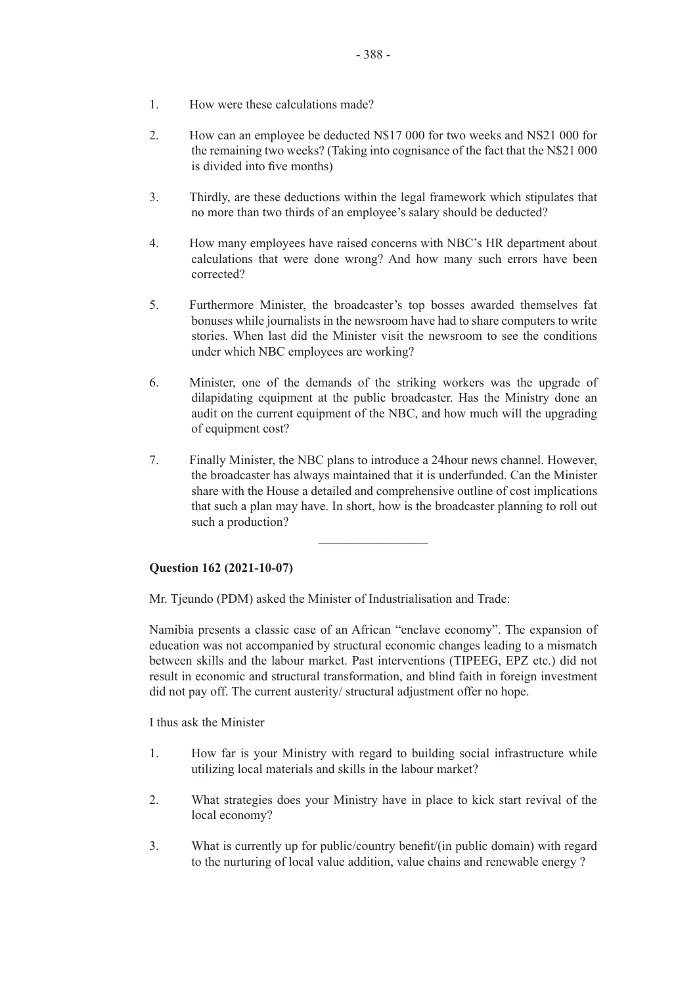- 1. How were these calculations made?
- 2. How can an employee be deducted N\$17 000 for two weeks and NS21 000 for the remaining two weeks? (Taking into cognisance of the fact that the N\$21 000 is divided into five months)
- 3. Thirdly, are these deductions within the legal framework which stipulates that no more than two thirds of an employee's salary should be deducted?
- 4. How many employees have raised concerns with NBC's HR department about calculations that were done wrong? And how many such errors have been corrected?
- 5. Furthermore Minister, the broadcaster's top bosses awarded themselves fat bonuses while journalists in the newsroom have had to share computers to write stories. When last did the Minister visit the newsroom to see the conditions under which NBC employees are working?
- 6. Minister, one of the demands of the striking workers was the upgrade of dilapidating equipment at the public broadcaster. Has the Ministry done an audit on the current equipment of the NBC, and how much will the upgrading of equipment cost?
- 7. Finally Minister, the NBC plans to introduce a 24hour news channel. However, the broadcaster has always maintained that it is underfunded. Can the Minister share with the House a detailed and comprehensive outline of cost implications that such a plan may have. In short, how is the broadcaster planning to roll out such a production?

 $\overline{\phantom{a}}$  , where  $\overline{\phantom{a}}$ 

#### **Question 162 (2021-10-07)**

Mr. Tjeundo (PDM) asked the Minister of Industrialisation and Trade:

Namibia presents a classic case of an African "enclave economy". The expansion of education was not accompanied by structural economic changes leading to a mismatch between skills and the labour market. Past interventions (TIPEEG, EPZ etc.) did not result in economic and structural transformation, and blind faith in foreign investment did not pay off. The current austerity/ structural adjustment offer no hope.

I thus ask the Minister

- 1. How far is your Ministry with regard to building social infrastructure while utilizing local materials and skills in the labour market?
- 2. What strategies does your Ministry have in place to kick start revival of the local economy?
- 3. What is currently up for public/country benefit/(in public domain) with regard to the nurturing of local value addition, value chains and renewable energy ?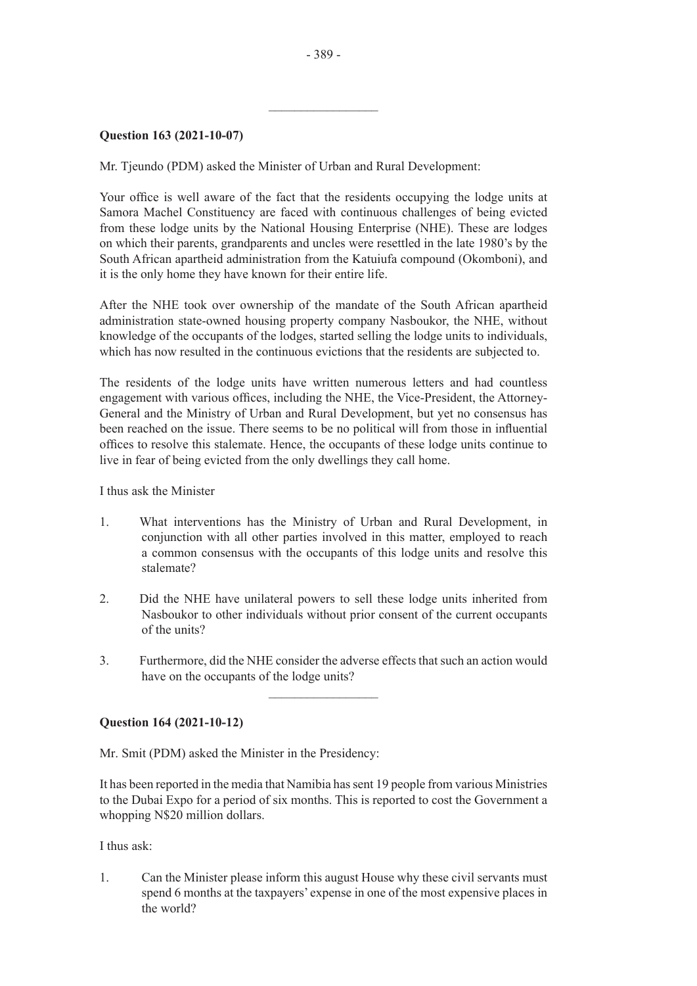$\frac{1}{2}$  ,  $\frac{1}{2}$  ,  $\frac{1}{2}$  ,  $\frac{1}{2}$  ,  $\frac{1}{2}$  ,  $\frac{1}{2}$  ,  $\frac{1}{2}$  ,  $\frac{1}{2}$  ,  $\frac{1}{2}$  ,  $\frac{1}{2}$ 

#### **Question 163 (2021-10-07)**

Mr. Tjeundo (PDM) asked the Minister of Urban and Rural Development:

Your office is well aware of the fact that the residents occupying the lodge units at Samora Machel Constituency are faced with continuous challenges of being evicted from these lodge units by the National Housing Enterprise (NHE). These are lodges on which their parents, grandparents and uncles were resettled in the late 1980's by the South African apartheid administration from the Katuiufa compound (Okomboni), and it is the only home they have known for their entire life.

After the NHE took over ownership of the mandate of the South African apartheid administration state-owned housing property company Nasboukor, the NHE, without knowledge of the occupants of the lodges, started selling the lodge units to individuals, which has now resulted in the continuous evictions that the residents are subjected to.

The residents of the lodge units have written numerous letters and had countless engagement with various offices, including the NHE, the Vice-President, the Attorney-General and the Ministry of Urban and Rural Development, but yet no consensus has been reached on the issue. There seems to be no political will from those in influential offices to resolve this stalemate. Hence, the occupants of these lodge units continue to live in fear of being evicted from the only dwellings they call home.

I thus ask the Minister

- 1. What interventions has the Ministry of Urban and Rural Development, in conjunction with all other parties involved in this matter, employed to reach a common consensus with the occupants of this lodge units and resolve this stalemate?
- 2. Did the NHE have unilateral powers to sell these lodge units inherited from Nasboukor to other individuals without prior consent of the current occupants of the units?
- 3. Furthermore, did the NHE consider the adverse effects that such an action would have on the occupants of the lodge units?

 $\frac{1}{2}$  ,  $\frac{1}{2}$  ,  $\frac{1}{2}$  ,  $\frac{1}{2}$  ,  $\frac{1}{2}$  ,  $\frac{1}{2}$  ,  $\frac{1}{2}$  ,  $\frac{1}{2}$  ,  $\frac{1}{2}$  ,  $\frac{1}{2}$ 

#### **Question 164 (2021-10-12)**

Mr. Smit (PDM) asked the Minister in the Presidency:

It has been reported in the media that Namibia has sent 19 people from various Ministries to the Dubai Expo for a period of six months. This is reported to cost the Government a whopping N\$20 million dollars.

I thus ask:

1. Can the Minister please inform this august House why these civil servants must spend 6 months at the taxpayers' expense in one of the most expensive places in the world?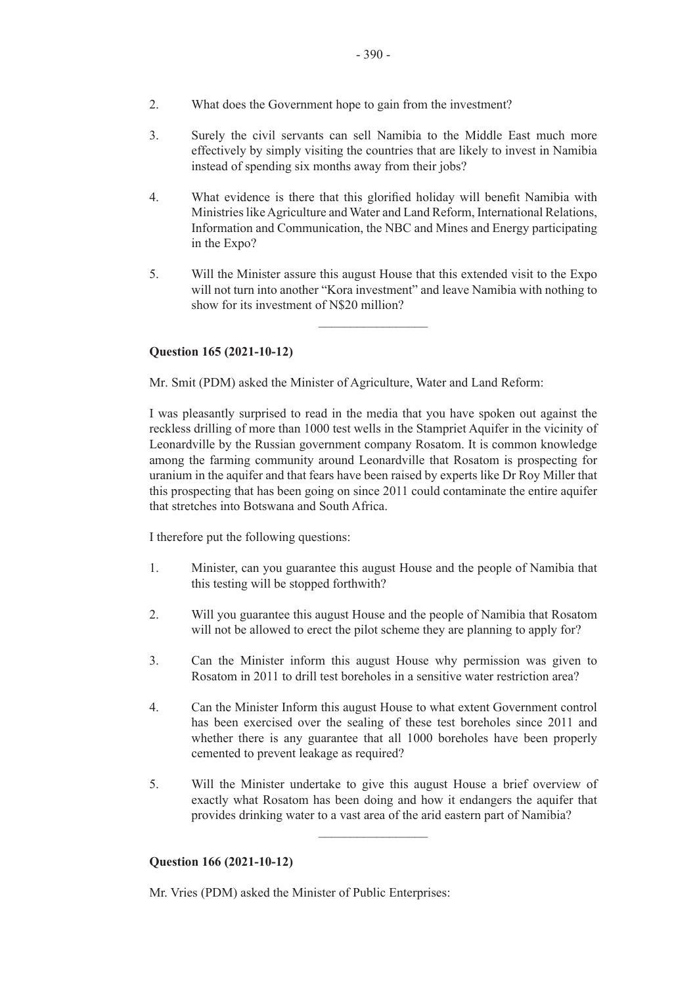- 2. What does the Government hope to gain from the investment?
- 3. Surely the civil servants can sell Namibia to the Middle East much more effectively by simply visiting the countries that are likely to invest in Namibia instead of spending six months away from their jobs?
- 4. What evidence is there that this glorified holiday will benefit Namibia with Ministries like Agriculture and Water and Land Reform, International Relations, Information and Communication, the NBC and Mines and Energy participating in the Expo?
- 5. Will the Minister assure this august House that this extended visit to the Expo will not turn into another "Kora investment" and leave Namibia with nothing to show for its investment of N\$20 million?

 $\overline{\phantom{a}}$  , where  $\overline{\phantom{a}}$ 

# **Question 165 (2021-10-12)**

Mr. Smit (PDM) asked the Minister of Agriculture, Water and Land Reform:

I was pleasantly surprised to read in the media that you have spoken out against the reckless drilling of more than 1000 test wells in the Stampriet Aquifer in the vicinity of Leonardville by the Russian government company Rosatom. It is common knowledge among the farming community around Leonardville that Rosatom is prospecting for uranium in the aquifer and that fears have been raised by experts like Dr Roy Miller that this prospecting that has been going on since 2011 could contaminate the entire aquifer that stretches into Botswana and South Africa.

I therefore put the following questions:

- 1. Minister, can you guarantee this august House and the people of Namibia that this testing will be stopped forthwith?
- 2. Will you guarantee this august House and the people of Namibia that Rosatom will not be allowed to erect the pilot scheme they are planning to apply for?
- 3. Can the Minister inform this august House why permission was given to Rosatom in 2011 to drill test boreholes in a sensitive water restriction area?
- 4. Can the Minister Inform this august House to what extent Government control has been exercised over the sealing of these test boreholes since 2011 and whether there is any guarantee that all 1000 boreholes have been properly cemented to prevent leakage as required?
- 5. Will the Minister undertake to give this august House a brief overview of exactly what Rosatom has been doing and how it endangers the aquifer that provides drinking water to a vast area of the arid eastern part of Namibia?

 $\overline{\phantom{a}}$  , where  $\overline{\phantom{a}}$ 

#### **Question 166 (2021-10-12)**

Mr. Vries (PDM) asked the Minister of Public Enterprises: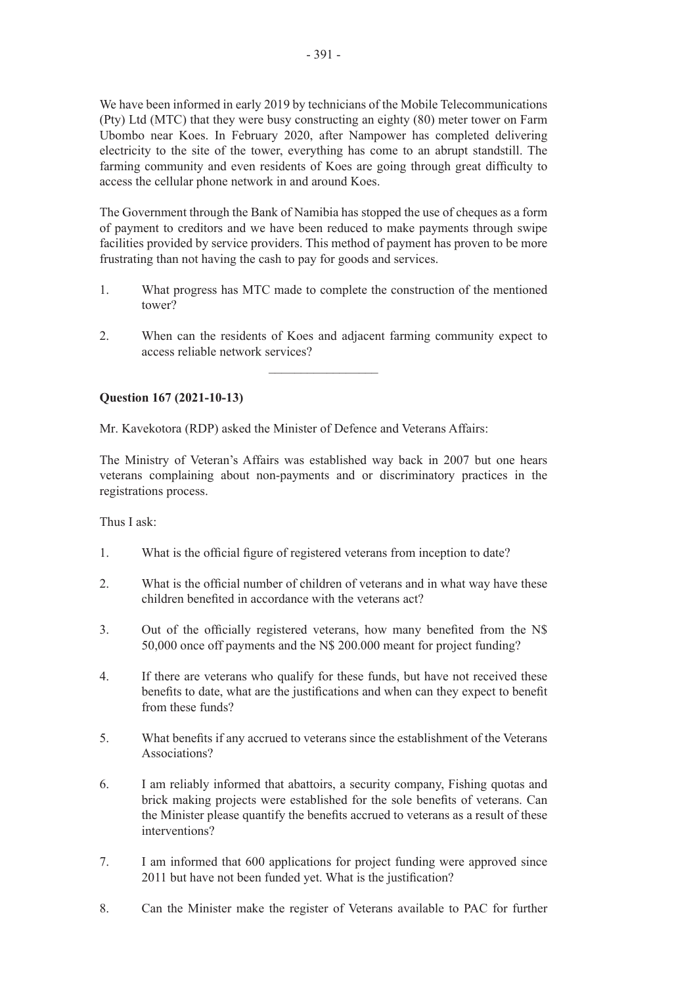We have been informed in early 2019 by technicians of the Mobile Telecommunications (Pty) Ltd (MTC) that they were busy constructing an eighty (80) meter tower on Farm Ubombo near Koes. In February 2020, after Nampower has completed delivering electricity to the site of the tower, everything has come to an abrupt standstill. The farming community and even residents of Koes are going through great difficulty to access the cellular phone network in and around Koes.

The Government through the Bank of Namibia has stopped the use of cheques as a form of payment to creditors and we have been reduced to make payments through swipe facilities provided by service providers. This method of payment has proven to be more frustrating than not having the cash to pay for goods and services.

- 1. What progress has MTC made to complete the construction of the mentioned tower?
- 2. When can the residents of Koes and adjacent farming community expect to access reliable network services?

 $\frac{1}{2}$ 

# **Question 167 (2021-10-13)**

Mr. Kavekotora (RDP) asked the Minister of Defence and Veterans Affairs:

The Ministry of Veteran's Affairs was established way back in 2007 but one hears veterans complaining about non-payments and or discriminatory practices in the registrations process.

Thus I ask:

- 1. What is the official figure of registered veterans from inception to date?
- 2. What is the official number of children of veterans and in what way have these children benefited in accordance with the veterans act?
- 3. Out of the officially registered veterans, how many benefited from the N\$ 50,000 once off payments and the N\$ 200.000 meant for project funding?
- 4. If there are veterans who qualify for these funds, but have not received these benefits to date, what are the justifications and when can they expect to benefit from these funds?
- 5. What benefits if any accrued to veterans since the establishment of the Veterans Associations?
- 6. I am reliably informed that abattoirs, a security company, Fishing quotas and brick making projects were established for the sole benefits of veterans. Can the Minister please quantify the benefits accrued to veterans as a result of these interventions?
- 7. I am informed that 600 applications for project funding were approved since 2011 but have not been funded yet. What is the justification?
- 8. Can the Minister make the register of Veterans available to PAC for further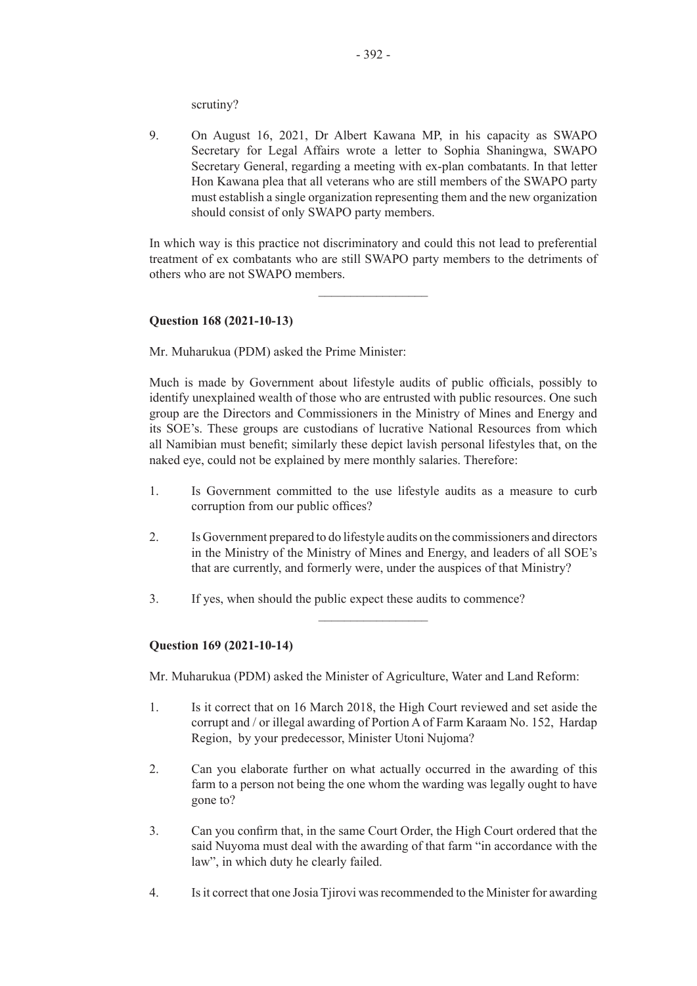scrutiny?

9. On August 16, 2021, Dr Albert Kawana MP, in his capacity as SWAPO Secretary for Legal Affairs wrote a letter to Sophia Shaningwa, SWAPO Secretary General, regarding a meeting with ex-plan combatants. In that letter Hon Kawana plea that all veterans who are still members of the SWAPO party must establish a single organization representing them and the new organization should consist of only SWAPO party members.

In which way is this practice not discriminatory and could this not lead to preferential treatment of ex combatants who are still SWAPO party members to the detriments of others who are not SWAPO members.

 $\frac{1}{2}$ 

# **Question 168 (2021-10-13)**

Mr. Muharukua (PDM) asked the Prime Minister:

Much is made by Government about lifestyle audits of public officials, possibly to identify unexplained wealth of those who are entrusted with public resources. One such group are the Directors and Commissioners in the Ministry of Mines and Energy and its SOE's. These groups are custodians of lucrative National Resources from which all Namibian must benefit; similarly these depict lavish personal lifestyles that, on the naked eye, could not be explained by mere monthly salaries. Therefore:

- 1. Is Government committed to the use lifestyle audits as a measure to curb corruption from our public offices?
- 2. Is Government prepared to do lifestyle audits on the commissioners and directors in the Ministry of the Ministry of Mines and Energy, and leaders of all SOE's that are currently, and formerly were, under the auspices of that Ministry?

 $\overline{\phantom{a}}$  , where  $\overline{\phantom{a}}$ 

3. If yes, when should the public expect these audits to commence?

#### **Question 169 (2021-10-14)**

Mr. Muharukua (PDM) asked the Minister of Agriculture, Water and Land Reform:

- 1. Is it correct that on 16 March 2018, the High Court reviewed and set aside the corrupt and / or illegal awarding of Portion A of Farm Karaam No. 152, Hardap Region, by your predecessor, Minister Utoni Nujoma?
- 2. Can you elaborate further on what actually occurred in the awarding of this farm to a person not being the one whom the warding was legally ought to have gone to?
- 3. Can you confirm that, in the same Court Order, the High Court ordered that the said Nuyoma must deal with the awarding of that farm "in accordance with the law", in which duty he clearly failed.
- 4. Is it correct that one Josia Tjirovi was recommended to the Minister for awarding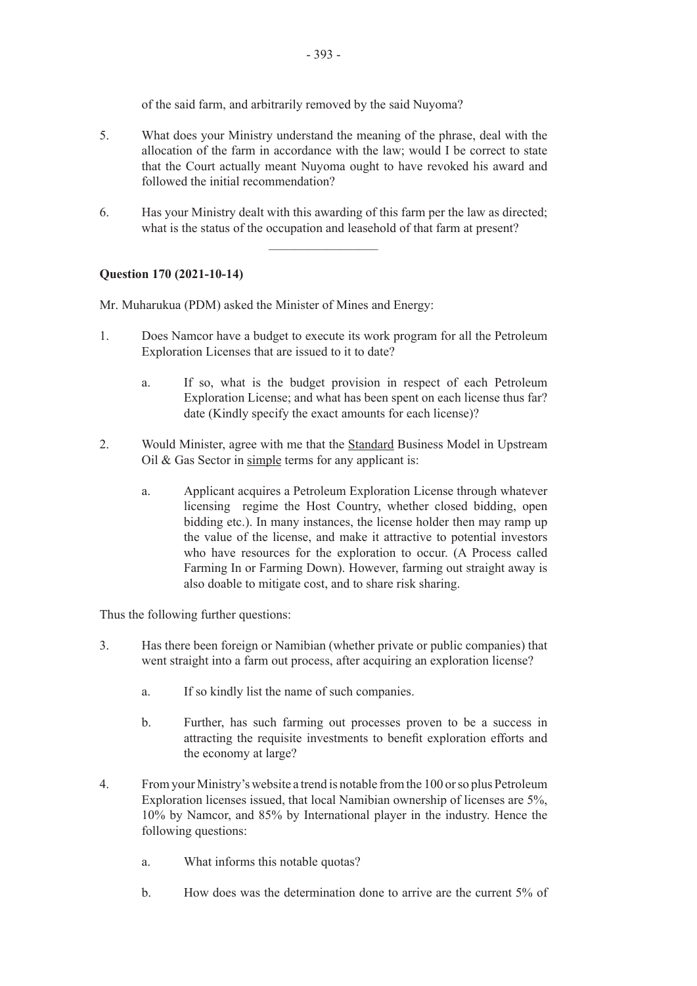of the said farm, and arbitrarily removed by the said Nuyoma?

- 5. What does your Ministry understand the meaning of the phrase, deal with the allocation of the farm in accordance with the law; would I be correct to state that the Court actually meant Nuyoma ought to have revoked his award and followed the initial recommendation?
- 6. Has your Ministry dealt with this awarding of this farm per the law as directed; what is the status of the occupation and leasehold of that farm at present?

 $\frac{1}{2}$  ,  $\frac{1}{2}$  ,  $\frac{1}{2}$  ,  $\frac{1}{2}$  ,  $\frac{1}{2}$  ,  $\frac{1}{2}$  ,  $\frac{1}{2}$  ,  $\frac{1}{2}$  ,  $\frac{1}{2}$  ,  $\frac{1}{2}$ 

**Question 170 (2021-10-14)**

Mr. Muharukua (PDM) asked the Minister of Mines and Energy:

- 1. Does Namcor have a budget to execute its work program for all the Petroleum Exploration Licenses that are issued to it to date?
	- a. If so, what is the budget provision in respect of each Petroleum Exploration License; and what has been spent on each license thus far? date (Kindly specify the exact amounts for each license)?
- 2. Would Minister, agree with me that the Standard Business Model in Upstream Oil & Gas Sector in simple terms for any applicant is:
	- a. Applicant acquires a Petroleum Exploration License through whatever licensing regime the Host Country, whether closed bidding, open bidding etc.). In many instances, the license holder then may ramp up the value of the license, and make it attractive to potential investors who have resources for the exploration to occur. (A Process called Farming In or Farming Down). However, farming out straight away is also doable to mitigate cost, and to share risk sharing.

Thus the following further questions:

- 3. Has there been foreign or Namibian (whether private or public companies) that went straight into a farm out process, after acquiring an exploration license?
	- a. If so kindly list the name of such companies.
	- b. Further, has such farming out processes proven to be a success in attracting the requisite investments to benefit exploration efforts and the economy at large?
- 4. From your Ministry's website a trend is notable from the 100 or so plus Petroleum Exploration licenses issued, that local Namibian ownership of licenses are 5%, 10% by Namcor, and 85% by International player in the industry. Hence the following questions:
	- a. What informs this notable quotas?
	- b. How does was the determination done to arrive are the current 5% of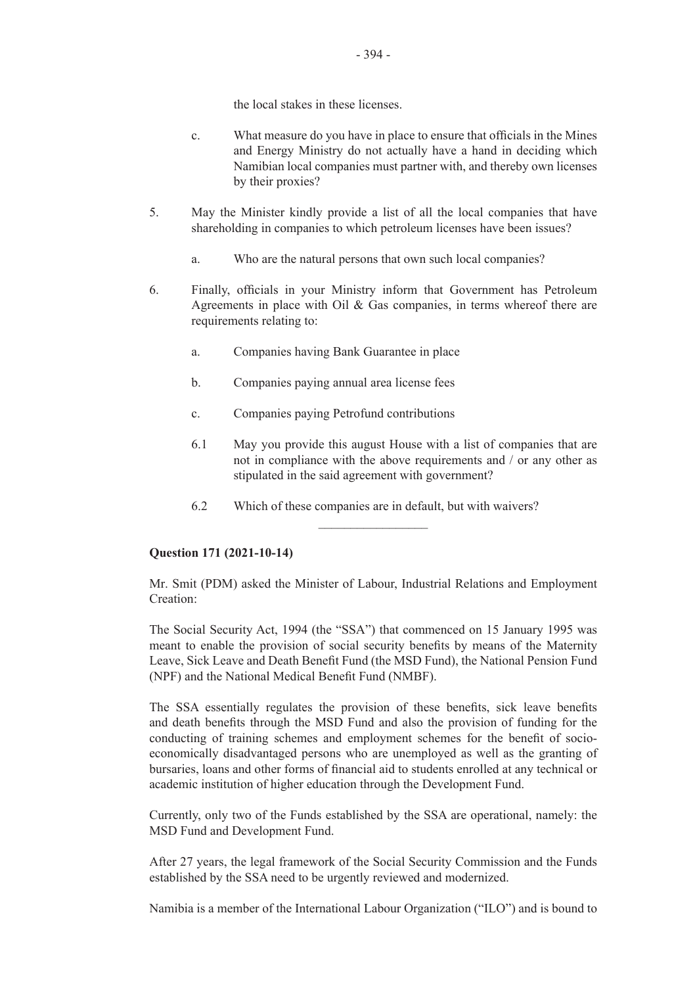the local stakes in these licenses.

- c. What measure do you have in place to ensure that officials in the Mines and Energy Ministry do not actually have a hand in deciding which Namibian local companies must partner with, and thereby own licenses by their proxies?
- 5. May the Minister kindly provide a list of all the local companies that have shareholding in companies to which petroleum licenses have been issues?
	- a. Who are the natural persons that own such local companies?
- 6. Finally, officials in your Ministry inform that Government has Petroleum Agreements in place with Oil & Gas companies, in terms whereof there are requirements relating to:
	- a. Companies having Bank Guarantee in place
	- b. Companies paying annual area license fees
	- c. Companies paying Petrofund contributions
	- 6.1 May you provide this august House with a list of companies that are not in compliance with the above requirements and / or any other as stipulated in the said agreement with government?
	- 6.2 Which of these companies are in default, but with waivers?  $\overline{\phantom{a}}$  , where  $\overline{\phantom{a}}$

# **Question 171 (2021-10-14)**

Mr. Smit (PDM) asked the Minister of Labour, Industrial Relations and Employment Creation:

The Social Security Act, 1994 (the "SSA") that commenced on 15 January 1995 was meant to enable the provision of social security benefits by means of the Maternity Leave, Sick Leave and Death Benefit Fund (the MSD Fund), the National Pension Fund (NPF) and the National Medical Benefit Fund (NMBF).

The SSA essentially regulates the provision of these benefits, sick leave benefits and death benefits through the MSD Fund and also the provision of funding for the conducting of training schemes and employment schemes for the benefit of socioeconomically disadvantaged persons who are unemployed as well as the granting of bursaries, loans and other forms of financial aid to students enrolled at any technical or academic institution of higher education through the Development Fund.

Currently, only two of the Funds established by the SSA are operational, namely: the MSD Fund and Development Fund.

After 27 years, the legal framework of the Social Security Commission and the Funds established by the SSA need to be urgently reviewed and modernized.

Namibia is a member of the International Labour Organization ("ILO") and is bound to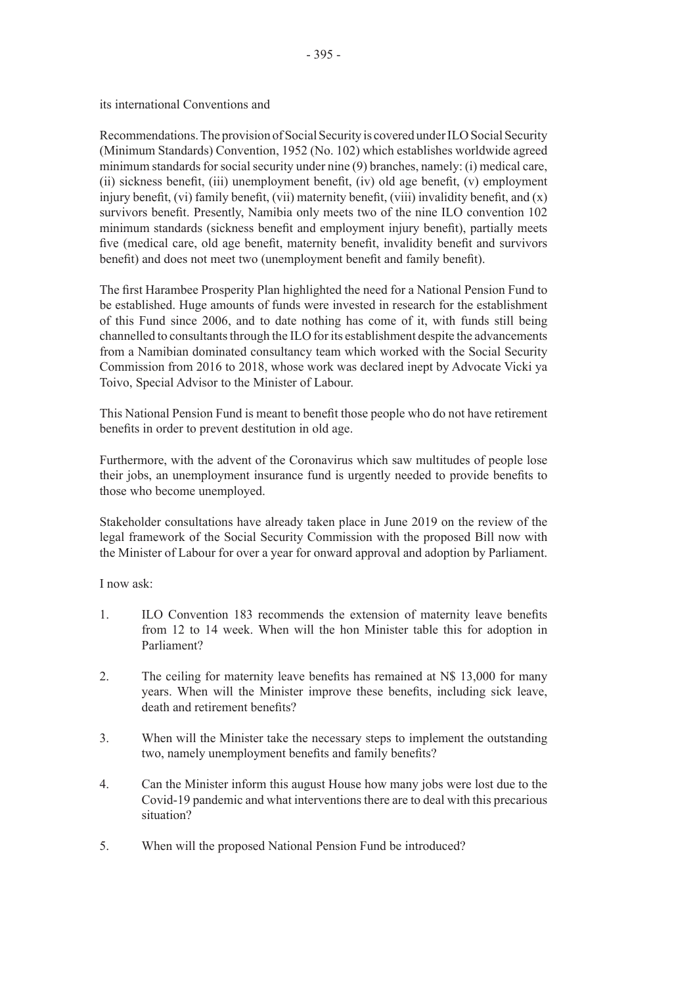its international Conventions and

Recommendations. The provision of Social Security is covered under ILO Social Security (Minimum Standards) Convention, 1952 (No. 102) which establishes worldwide agreed minimum standards for social security under nine (9) branches, namely: (i) medical care, (ii) sickness benefit, (iii) unemployment benefit, (iv) old age benefit, (v) employment injury benefit, (vi) family benefit, (vii) maternity benefit, (viii) invalidity benefit, and (x) survivors benefit. Presently, Namibia only meets two of the nine ILO convention 102 minimum standards (sickness benefit and employment injury benefit), partially meets five (medical care, old age benefit, maternity benefit, invalidity benefit and survivors benefit) and does not meet two (unemployment benefit and family benefit).

The first Harambee Prosperity Plan highlighted the need for a National Pension Fund to be established. Huge amounts of funds were invested in research for the establishment of this Fund since 2006, and to date nothing has come of it, with funds still being channelled to consultants through the ILO for its establishment despite the advancements from a Namibian dominated consultancy team which worked with the Social Security Commission from 2016 to 2018, whose work was declared inept by Advocate Vicki ya Toivo, Special Advisor to the Minister of Labour.

This National Pension Fund is meant to benefit those people who do not have retirement benefits in order to prevent destitution in old age.

Furthermore, with the advent of the Coronavirus which saw multitudes of people lose their jobs, an unemployment insurance fund is urgently needed to provide benefits to those who become unemployed.

Stakeholder consultations have already taken place in June 2019 on the review of the legal framework of the Social Security Commission with the proposed Bill now with the Minister of Labour for over a year for onward approval and adoption by Parliament.

I now ask:

- 1. ILO Convention 183 recommends the extension of maternity leave benefits from 12 to 14 week. When will the hon Minister table this for adoption in Parliament?
- 2. The ceiling for maternity leave benefits has remained at N\$ 13,000 for many years. When will the Minister improve these benefits, including sick leave, death and retirement benefits?
- 3. When will the Minister take the necessary steps to implement the outstanding two, namely unemployment benefits and family benefits?
- 4. Can the Minister inform this august House how many jobs were lost due to the Covid-19 pandemic and what interventions there are to deal with this precarious situation?
- 5. When will the proposed National Pension Fund be introduced?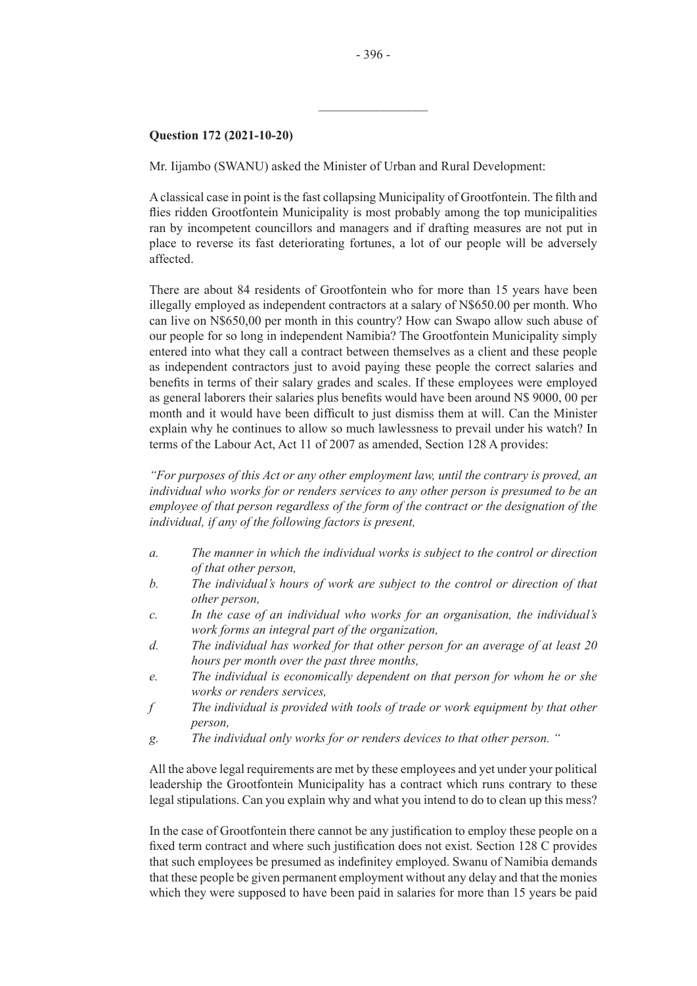# **Question 172 (2021-10-20)**

Mr. Iijambo (SWANU) asked the Minister of Urban and Rural Development:

Aclassical case in point is the fast collapsing Municipality of Grootfontein. The filth and flies ridden Grootfontein Municipality is most probably among the top municipalities ran by incompetent councillors and managers and if drafting measures are not put in place to reverse its fast deteriorating fortunes, a lot of our people will be adversely affected.

There are about 84 residents of Grootfontein who for more than 15 years have been illegally employed as independent contractors at a salary of N\$650.00 per month. Who can live on N\$650,00 per month in this country? How can Swapo allow such abuse of our people for so long in independent Namibia? The Grootfontein Municipality simply entered into what they call a contract between themselves as a client and these people as independent contractors just to avoid paying these people the correct salaries and benefits in terms of their salary grades and scales. If these employees were employed as general laborers their salaries plus benefits would have been around N\$ 9000, 00 per month and it would have been difficult to just dismiss them at will. Can the Minister explain why he continues to allow so much lawlessness to prevail under his watch? In terms of the Labour Act, Act 11 of 2007 as amended, Section 128 A provides:

*"For purposes of this Act or any other employment law, until the contrary is proved, an individual who works for or renders services to any other person is presumed to be an employee of that person regardless of the form of the contract or the designation of the individual, if any of the following factors is present,* 

- *a. The manner in which the individual works is subject to the control or direction of that other person,*
- *b. The individual's hours of work are subject to the control or direction of that other person,*
- *c. In the case of an individual who works for an organisation, the individual's work forms an integral part of the organization,*
- *d. The individual has worked for that other person for an average of at least 20 hours per month over the past three months,*
- *e. The individual is economically dependent on that person for whom he or she works or renders services,*
- *f The individual is provided with tools of trade or work equipment by that other person,*
- *g. The individual only works for or renders devices to that other person. "*

All the above legal requirements are met by these employees and yet under your political leadership the Grootfontein Municipality has a contract which runs contrary to these legal stipulations. Can you explain why and what you intend to do to clean up this mess?

In the case of Grootfontein there cannot be any justification to employ these people on a fixed term contract and where such justification does not exist. Section 128 C provides that such employees be presumed as indefinitey employed. Swanu of Namibia demands that these people be given permanent employment without any delay and that the monies which they were supposed to have been paid in salaries for more than 15 years be paid

 $\overline{\phantom{a}}$  , where  $\overline{\phantom{a}}$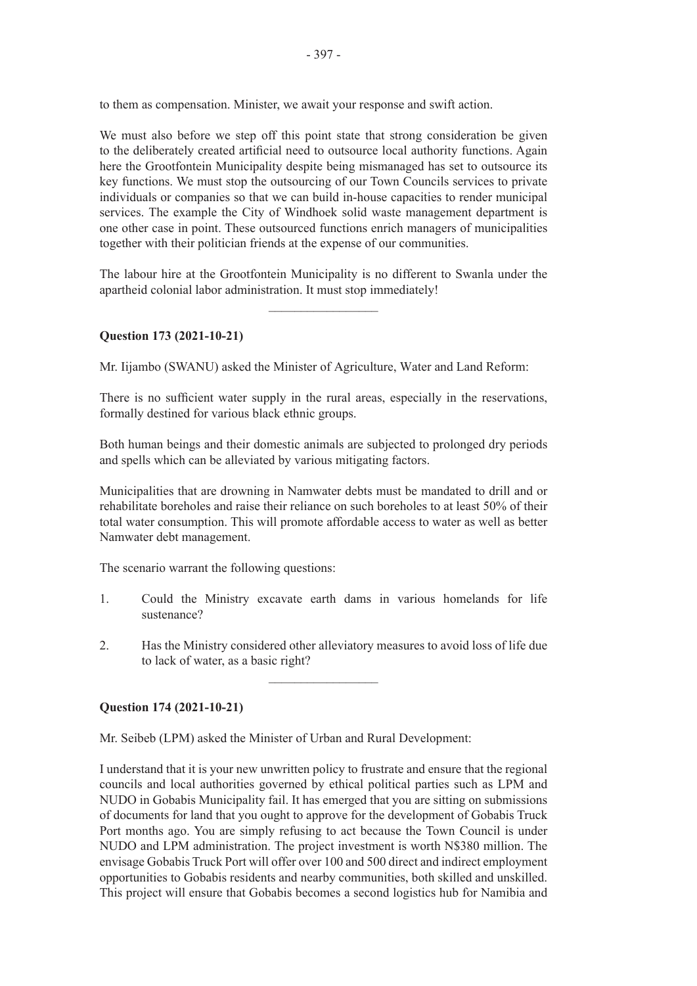to them as compensation. Minister, we await your response and swift action.

We must also before we step off this point state that strong consideration be given to the deliberately created artificial need to outsource local authority functions. Again here the Grootfontein Municipality despite being mismanaged has set to outsource its key functions. We must stop the outsourcing of our Town Councils services to private individuals or companies so that we can build in-house capacities to render municipal services. The example the City of Windhoek solid waste management department is one other case in point. These outsourced functions enrich managers of municipalities together with their politician friends at the expense of our communities.

The labour hire at the Grootfontein Municipality is no different to Swanla under the apartheid colonial labor administration. It must stop immediately!

 $\frac{1}{2}$  ,  $\frac{1}{2}$  ,  $\frac{1}{2}$  ,  $\frac{1}{2}$  ,  $\frac{1}{2}$  ,  $\frac{1}{2}$  ,  $\frac{1}{2}$  ,  $\frac{1}{2}$  ,  $\frac{1}{2}$  ,  $\frac{1}{2}$ 

# **Question 173 (2021-10-21)**

Mr. Iijambo (SWANU) asked the Minister of Agriculture, Water and Land Reform:

There is no sufficient water supply in the rural areas, especially in the reservations, formally destined for various black ethnic groups.

Both human beings and their domestic animals are subjected to prolonged dry periods and spells which can be alleviated by various mitigating factors.

Municipalities that are drowning in Namwater debts must be mandated to drill and or rehabilitate boreholes and raise their reliance on such boreholes to at least 50% of their total water consumption. This will promote affordable access to water as well as better Namwater debt management.

The scenario warrant the following questions:

- 1. Could the Ministry excavate earth dams in various homelands for life sustenance?
- 2. Has the Ministry considered other alleviatory measures to avoid loss of life due to lack of water, as a basic right?

 $\frac{1}{2}$  ,  $\frac{1}{2}$  ,  $\frac{1}{2}$  ,  $\frac{1}{2}$  ,  $\frac{1}{2}$  ,  $\frac{1}{2}$  ,  $\frac{1}{2}$  ,  $\frac{1}{2}$  ,  $\frac{1}{2}$  ,  $\frac{1}{2}$ 

#### **Question 174 (2021-10-21)**

Mr. Seibeb (LPM) asked the Minister of Urban and Rural Development:

I understand that it is your new unwritten policy to frustrate and ensure that the regional councils and local authorities governed by ethical political parties such as LPM and NUDO in Gobabis Municipality fail. It has emerged that you are sitting on submissions of documents for land that you ought to approve for the development of Gobabis Truck Port months ago. You are simply refusing to act because the Town Council is under NUDO and LPM administration. The project investment is worth N\$380 million. The envisage Gobabis Truck Port will offer over 100 and 500 direct and indirect employment opportunities to Gobabis residents and nearby communities, both skilled and unskilled. This project will ensure that Gobabis becomes a second logistics hub for Namibia and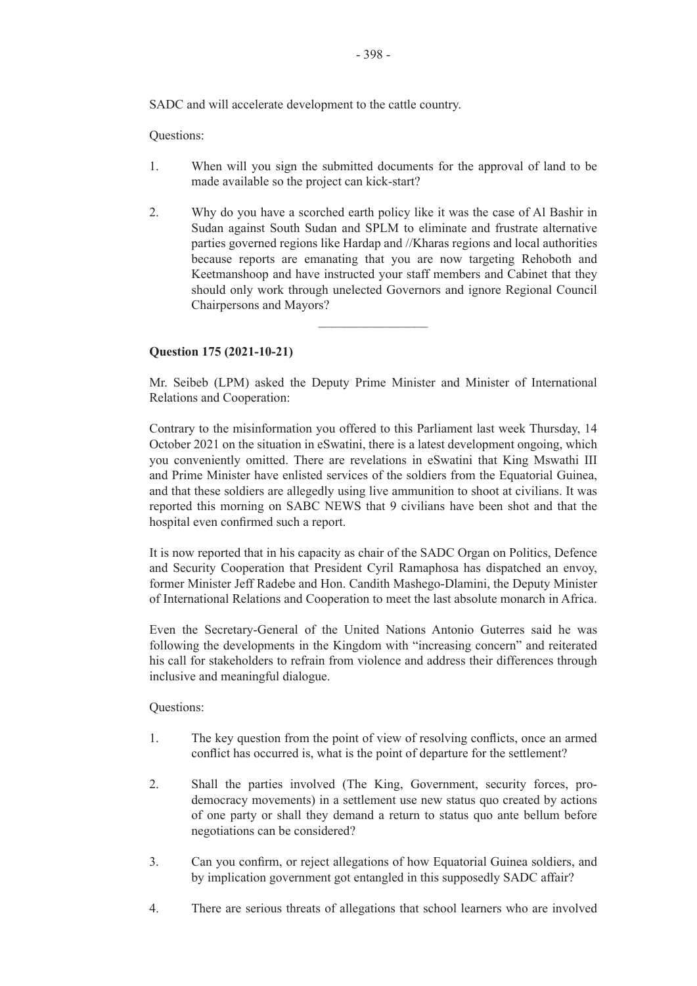Questions:

- 1. When will you sign the submitted documents for the approval of land to be made available so the project can kick-start?
- 2. Why do you have a scorched earth policy like it was the case of Al Bashir in Sudan against South Sudan and SPLM to eliminate and frustrate alternative parties governed regions like Hardap and //Kharas regions and local authorities because reports are emanating that you are now targeting Rehoboth and Keetmanshoop and have instructed your staff members and Cabinet that they should only work through unelected Governors and ignore Regional Council Chairpersons and Mayors?

 $\overline{\phantom{a}}$  , where  $\overline{\phantom{a}}$ 

# **Question 175 (2021-10-21)**

Mr. Seibeb (LPM) asked the Deputy Prime Minister and Minister of International Relations and Cooperation:

Contrary to the misinformation you offered to this Parliament last week Thursday, 14 October 2021 on the situation in eSwatini, there is a latest development ongoing, which you conveniently omitted. There are revelations in eSwatini that King Mswathi III and Prime Minister have enlisted services of the soldiers from the Equatorial Guinea, and that these soldiers are allegedly using live ammunition to shoot at civilians. It was reported this morning on SABC NEWS that 9 civilians have been shot and that the hospital even confirmed such a report.

It is now reported that in his capacity as chair of the SADC Organ on Politics, Defence and Security Cooperation that President Cyril Ramaphosa has dispatched an envoy, former Minister Jeff Radebe and Hon. Candith Mashego-Dlamini, the Deputy Minister of International Relations and Cooperation to meet the last absolute monarch in Africa.

Even the Secretary-General of the United Nations Antonio Guterres said he was following the developments in the Kingdom with "increasing concern" and reiterated his call for stakeholders to refrain from violence and address their differences through inclusive and meaningful dialogue.

Questions:

- 1. The key question from the point of view of resolving conflicts, once an armed conflict has occurred is, what is the point of departure for the settlement?
- 2. Shall the parties involved (The King, Government, security forces, prodemocracy movements) in a settlement use new status quo created by actions of one party or shall they demand a return to status quo ante bellum before negotiations can be considered?
- 3. Can you confirm, or reject allegations of how Equatorial Guinea soldiers, and by implication government got entangled in this supposedly SADC affair?
- 4. There are serious threats of allegations that school learners who are involved